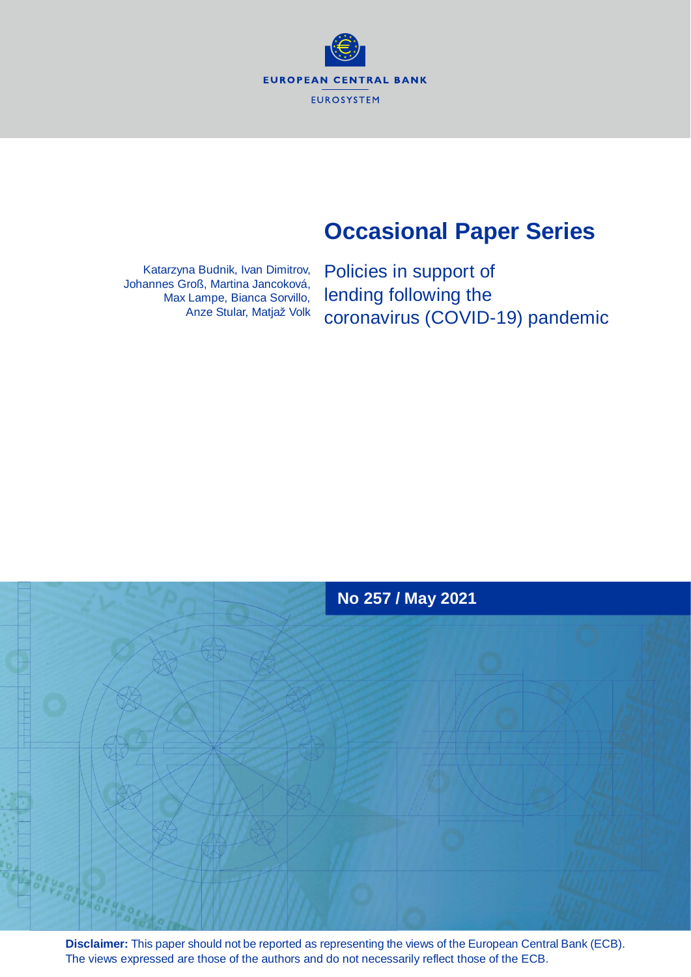**EUROPEAN CENTRAL BANK** EUROSYSTEM

# **Occasional Paper Series**

Katarzyna Budnik, Ivan Dimitrov, Johannes Groß, Martina Jancoková, Max Lampe, Bianca Sorvillo, Anze Stular, Matjaž Volk Policies in support of lending following the coronavirus (COVID-19) pandemic



**Disclaimer:** This paper should not be reported as representing the views of the European Central Bank (ECB). The views expressed are those of the authors and do not necessarily reflect those of the ECB.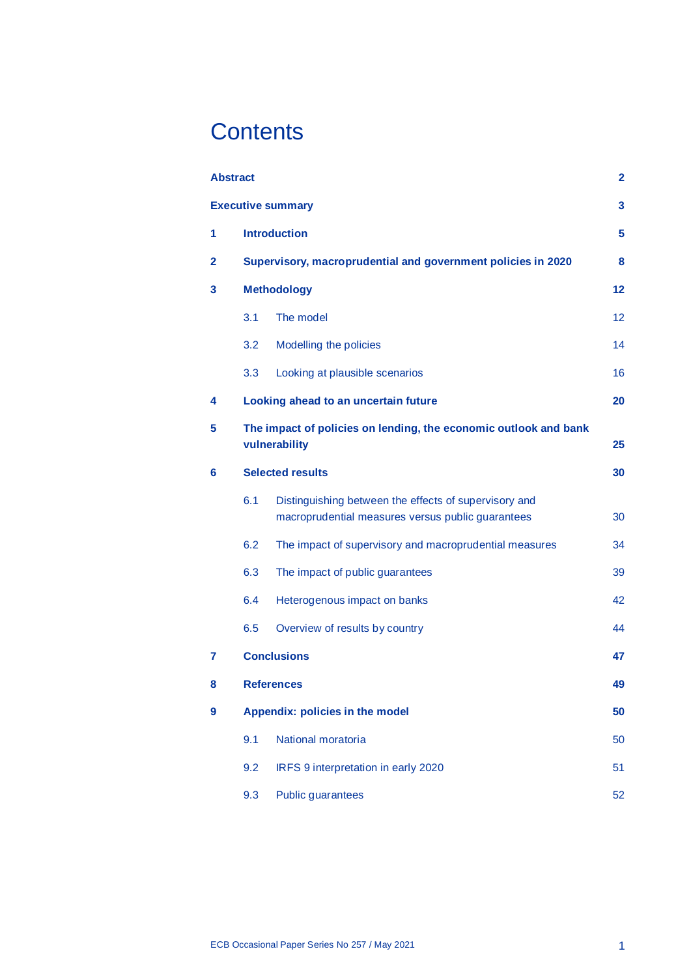# **Contents**

|                | <b>Abstract</b>                                                                   |                                                                                                            | $\overline{2}$ |  |  |  |  |  |  |  |
|----------------|-----------------------------------------------------------------------------------|------------------------------------------------------------------------------------------------------------|----------------|--|--|--|--|--|--|--|
|                |                                                                                   | <b>Executive summary</b>                                                                                   | 3              |  |  |  |  |  |  |  |
| 1              |                                                                                   | <b>Introduction</b>                                                                                        | 5              |  |  |  |  |  |  |  |
| $\overline{2}$ |                                                                                   | Supervisory, macroprudential and government policies in 2020                                               | 8              |  |  |  |  |  |  |  |
| 3              |                                                                                   | <b>Methodology</b>                                                                                         | 12             |  |  |  |  |  |  |  |
|                | 3.1                                                                               | The model                                                                                                  | 12             |  |  |  |  |  |  |  |
|                | 3.2                                                                               | Modelling the policies                                                                                     | 14             |  |  |  |  |  |  |  |
|                | 3.3                                                                               | Looking at plausible scenarios                                                                             | 16             |  |  |  |  |  |  |  |
| 4              |                                                                                   | Looking ahead to an uncertain future                                                                       | 20             |  |  |  |  |  |  |  |
| 5              | The impact of policies on lending, the economic outlook and bank<br>vulnerability |                                                                                                            |                |  |  |  |  |  |  |  |
| 6              |                                                                                   | <b>Selected results</b>                                                                                    |                |  |  |  |  |  |  |  |
|                | 6.1                                                                               | Distinguishing between the effects of supervisory and<br>macroprudential measures versus public guarantees | 30             |  |  |  |  |  |  |  |
|                | 6.2                                                                               | The impact of supervisory and macroprudential measures                                                     | 34             |  |  |  |  |  |  |  |
|                | 6.3                                                                               | The impact of public guarantees                                                                            | 39             |  |  |  |  |  |  |  |
|                | 6.4                                                                               | Heterogenous impact on banks                                                                               | 42             |  |  |  |  |  |  |  |
|                | 6.5                                                                               | Overview of results by country                                                                             | 44             |  |  |  |  |  |  |  |
| 7              |                                                                                   | <b>Conclusions</b>                                                                                         | 47             |  |  |  |  |  |  |  |
| 8              |                                                                                   | <b>References</b>                                                                                          | 49             |  |  |  |  |  |  |  |
| 9              |                                                                                   | Appendix: policies in the model                                                                            | 50             |  |  |  |  |  |  |  |
|                | 9.1                                                                               | National moratoria                                                                                         | 50             |  |  |  |  |  |  |  |
|                | 9.2                                                                               | IRFS 9 interpretation in early 2020                                                                        | 51             |  |  |  |  |  |  |  |
|                | 9.3                                                                               | Public guarantees                                                                                          | 52             |  |  |  |  |  |  |  |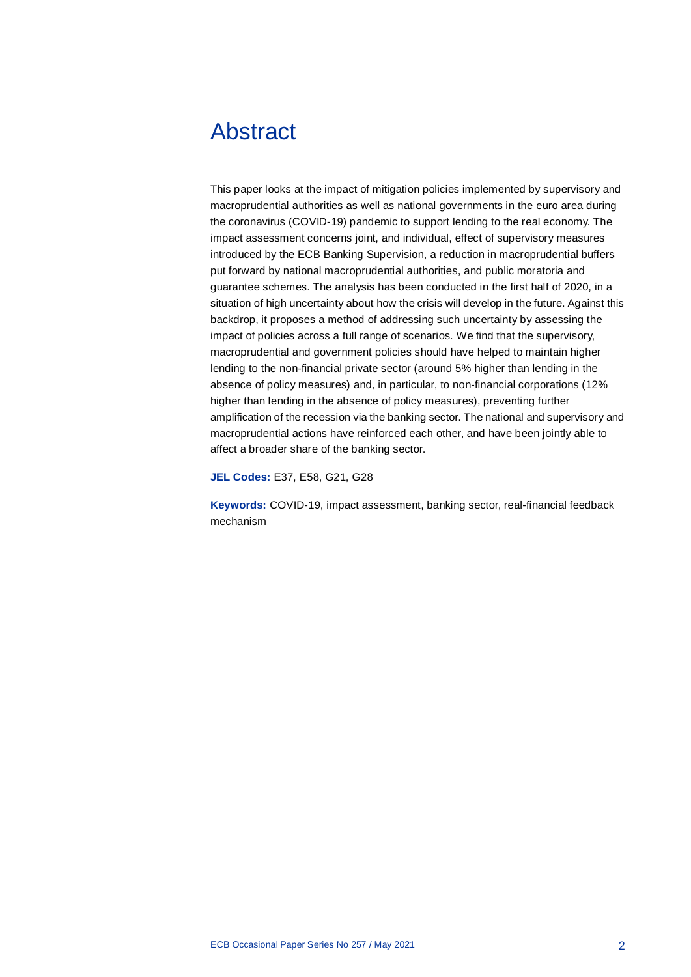# <span id="page-2-0"></span>Abstract

This paper looks at the impact of mitigation policies implemented by supervisory and macroprudential authorities as well as national governments in the euro area during the coronavirus (COVID-19) pandemic to support lending to the real economy. The impact assessment concerns joint, and individual, effect of supervisory measures introduced by the ECB Banking Supervision, a reduction in macroprudential buffers put forward by national macroprudential authorities, and public moratoria and guarantee schemes. The analysis has been conducted in the first half of 2020, in a situation of high uncertainty about how the crisis will develop in the future. Against this backdrop, it proposes a method of addressing such uncertainty by assessing the impact of policies across a full range of scenarios. We find that the supervisory, macroprudential and government policies should have helped to maintain higher lending to the non-financial private sector (around 5% higher than lending in the absence of policy measures) and, in particular, to non-financial corporations (12% higher than lending in the absence of policy measures), preventing further amplification of the recession via the banking sector. The national and supervisory and macroprudential actions have reinforced each other, and have been jointly able to affect a broader share of the banking sector.

**JEL Codes:** E37, E58, G21, G28

**Keywords:** COVID-19, impact assessment, banking sector, real-financial feedback mechanism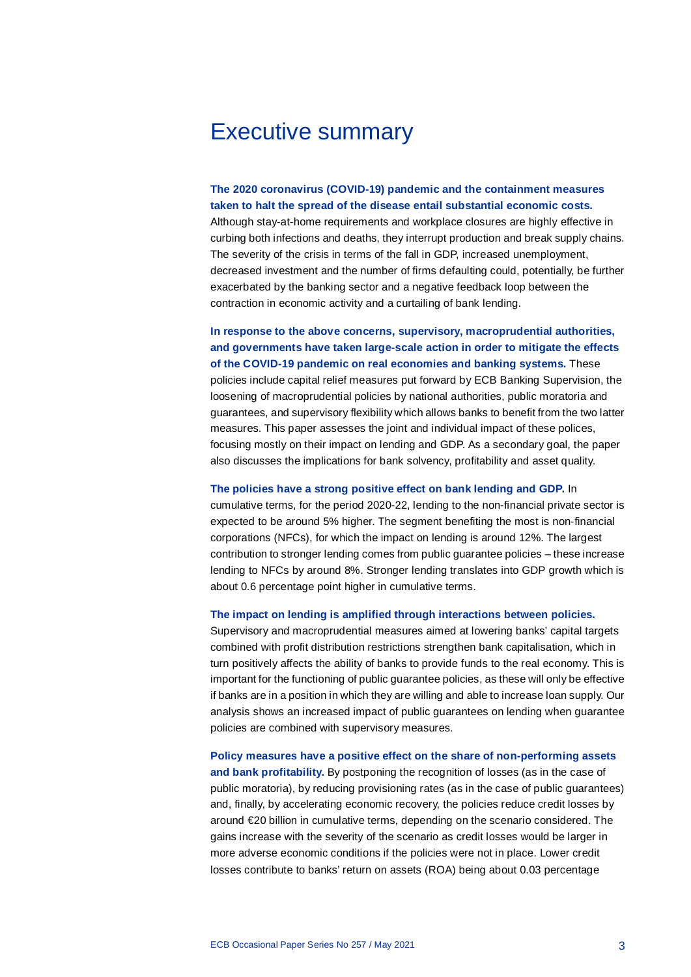# <span id="page-3-0"></span>Executive summary

**The 2020 coronavirus (COVID-19) pandemic and the containment measures taken to halt the spread of the disease entail substantial economic costs.**

Although stay-at-home requirements and workplace closures are highly effective in curbing both infections and deaths, they interrupt production and break supply chains. The severity of the crisis in terms of the fall in GDP, increased unemployment, decreased investment and the number of firms defaulting could, potentially, be further exacerbated by the banking sector and a negative feedback loop between the contraction in economic activity and a curtailing of bank lending.

**In response to the above concerns, supervisory, macroprudential authorities, and governments have taken large-scale action in order to mitigate the effects of the COVID-19 pandemic on real economies and banking systems.** These policies include capital relief measures put forward by ECB Banking Supervision, the loosening of macroprudential policies by national authorities, public moratoria and guarantees, and supervisory flexibility which allows banks to benefit from the two latter measures. This paper assesses the joint and individual impact of these polices, focusing mostly on their impact on lending and GDP. As a secondary goal, the paper also discusses the implications for bank solvency, profitability and asset quality.

**The policies have a strong positive effect on bank lending and GDP.** In

cumulative terms, for the period 2020-22, lending to the non-financial private sector is expected to be around 5% higher. The segment benefiting the most is non-financial corporations (NFCs), for which the impact on lending is around 12%. The largest contribution to stronger lending comes from public guarantee policies – these increase lending to NFCs by around 8%. Stronger lending translates into GDP growth which is about 0.6 percentage point higher in cumulative terms.

**The impact on lending is amplified through interactions between policies.**

Supervisory and macroprudential measures aimed at lowering banks' capital targets combined with profit distribution restrictions strengthen bank capitalisation, which in turn positively affects the ability of banks to provide funds to the real economy. This is important for the functioning of public guarantee policies, as these will only be effective if banks are in a position in which they are willing and able to increase loan supply. Our analysis shows an increased impact of public guarantees on lending when guarantee policies are combined with supervisory measures.

**Policy measures have a positive effect on the share of non-performing assets and bank profitability.** By postponing the recognition of losses (as in the case of public moratoria), by reducing provisioning rates (as in the case of public guarantees) and, finally, by accelerating economic recovery, the policies reduce credit losses by around €20 billion in cumulative terms, depending on the scenario considered. The gains increase with the severity of the scenario as credit losses would be larger in more adverse economic conditions if the policies were not in place. Lower credit losses contribute to banks' return on assets (ROA) being about 0.03 percentage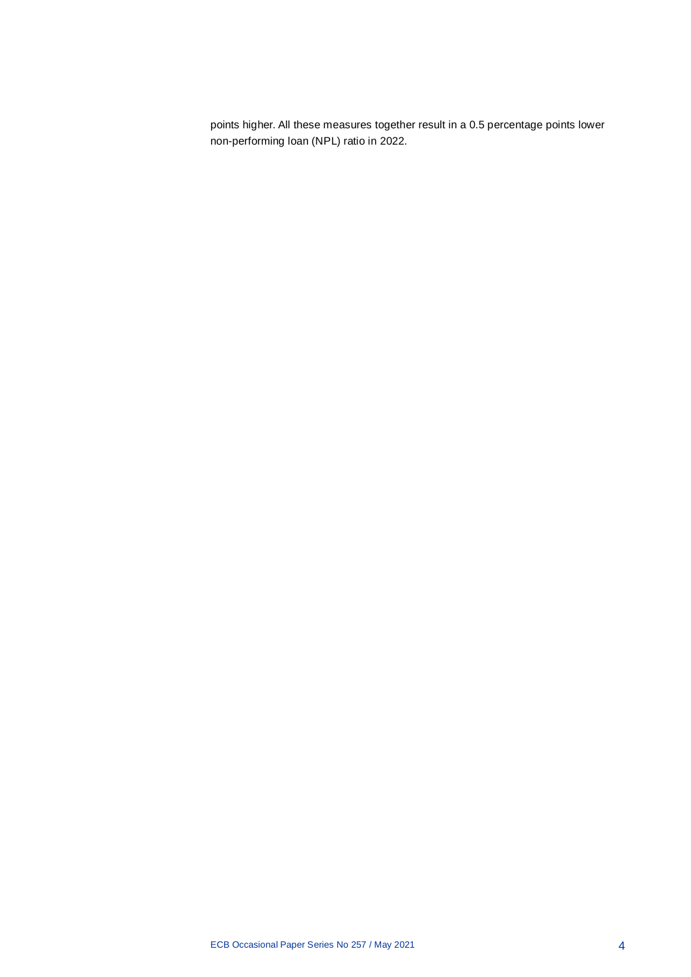points higher. All these measures together result in a 0.5 percentage points lower non-performing loan (NPL) ratio in 2022.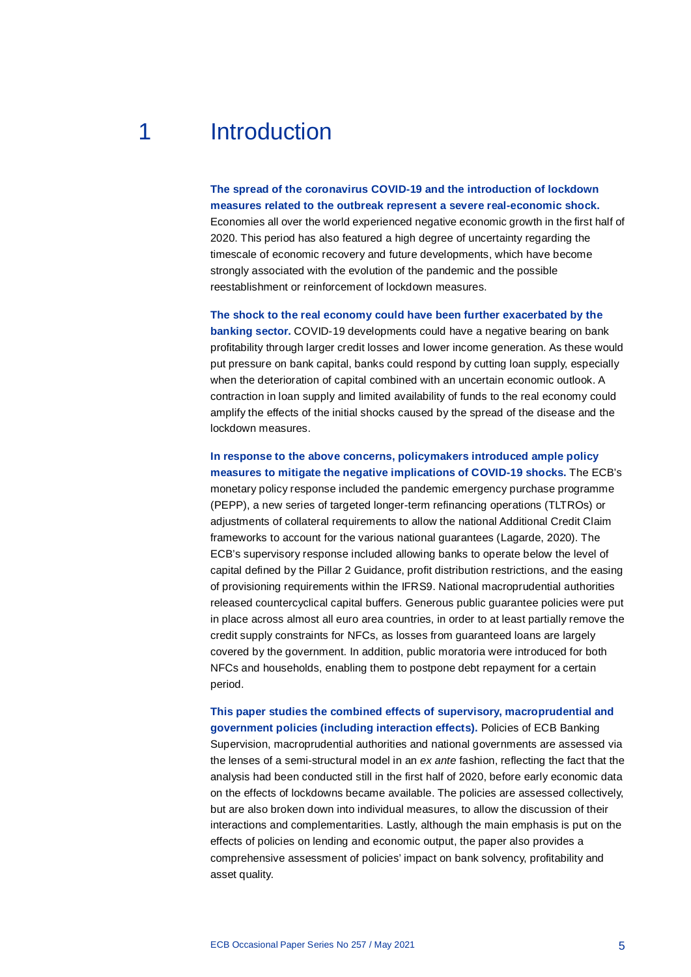# 1 Introduction

<span id="page-5-0"></span>**The spread of the coronavirus COVID-19 and the introduction of lockdown measures related to the outbreak represent a severe real-economic shock.** Economies all over the world experienced negative economic growth in the first half of 2020. This period has also featured a high degree of uncertainty regarding the timescale of economic recovery and future developments, which have become strongly associated with the evolution of the pandemic and the possible reestablishment or reinforcement of lockdown measures.

**The shock to the real economy could have been further exacerbated by the banking sector.** COVID-19 developments could have a negative bearing on bank profitability through larger credit losses and lower income generation. As these would put pressure on bank capital, banks could respond by cutting loan supply, especially when the deterioration of capital combined with an uncertain economic outlook. A contraction in loan supply and limited availability of funds to the real economy could amplify the effects of the initial shocks caused by the spread of the disease and the lockdown measures.

**In response to the above concerns, policymakers introduced ample policy measures to mitigate the negative implications of COVID-19 shocks.** The ECB's monetary policy response included the pandemic emergency purchase programme (PEPP), a new series of targeted longer-term refinancing operations (TLTROs) or adjustments of collateral requirements to allow the national Additional Credit Claim frameworks to account for the various national guarantees (Lagarde, 2020). The ECB's supervisory response included allowing banks to operate below the level of capital defined by the Pillar 2 Guidance, profit distribution restrictions, and the easing of provisioning requirements within the IFRS9. National macroprudential authorities released countercyclical capital buffers. Generous public guarantee policies were put in place across almost all euro area countries, in order to at least partially remove the credit supply constraints for NFCs, as losses from guaranteed loans are largely covered by the government. In addition, public moratoria were introduced for both NFCs and households, enabling them to postpone debt repayment for a certain period.

**This paper studies the combined effects of supervisory, macroprudential and government policies (including interaction effects).** Policies of ECB Banking

Supervision, macroprudential authorities and national governments are assessed via the lenses of a semi-structural model in an *ex ante* fashion, reflecting the fact that the analysis had been conducted still in the first half of 2020, before early economic data on the effects of lockdowns became available. The policies are assessed collectively, but are also broken down into individual measures, to allow the discussion of their interactions and complementarities. Lastly, although the main emphasis is put on the effects of policies on lending and economic output, the paper also provides a comprehensive assessment of policies' impact on bank solvency, profitability and asset quality.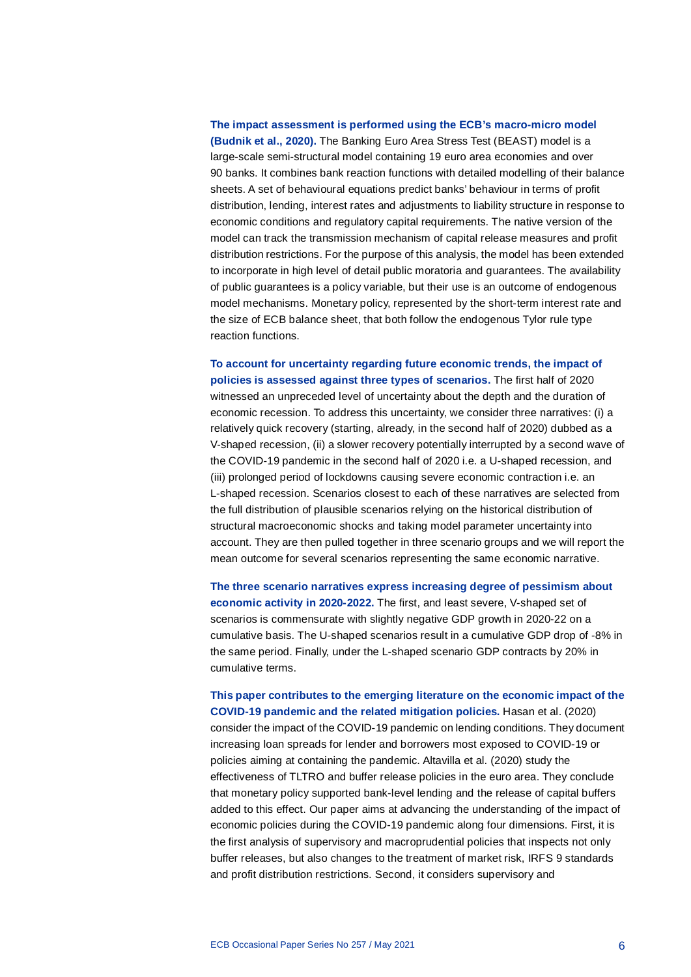# **The impact assessment is performed using the ECB's macro-micro model (Budnik et al., 2020).** The Banking Euro Area Stress Test (BEAST) model is a large-scale semi-structural model containing 19 euro area economies and over 90 banks. It combines bank reaction functions with detailed modelling of their balance sheets. A set of behavioural equations predict banks' behaviour in terms of profit distribution, lending, interest rates and adjustments to liability structure in response to economic conditions and regulatory capital requirements. The native version of the model can track the transmission mechanism of capital release measures and profit distribution restrictions. For the purpose of this analysis, the model has been extended to incorporate in high level of detail public moratoria and guarantees. The availability of public guarantees is a policy variable, but their use is an outcome of endogenous model mechanisms. Monetary policy, represented by the short-term interest rate and the size of ECB balance sheet, that both follow the endogenous Tylor rule type reaction functions.

## **To account for uncertainty regarding future economic trends, the impact of policies is assessed against three types of scenarios.** The first half of 2020

witnessed an unpreceded level of uncertainty about the depth and the duration of economic recession. To address this uncertainty, we consider three narratives: (i) a relatively quick recovery (starting, already, in the second half of 2020) dubbed as a V-shaped recession, (ii) a slower recovery potentially interrupted by a second wave of the COVID-19 pandemic in the second half of 2020 i.e. a U-shaped recession, and (iii) prolonged period of lockdowns causing severe economic contraction i.e. an L-shaped recession. Scenarios closest to each of these narratives are selected from the full distribution of plausible scenarios relying on the historical distribution of structural macroeconomic shocks and taking model parameter uncertainty into account. They are then pulled together in three scenario groups and we will report the mean outcome for several scenarios representing the same economic narrative.

**The three scenario narratives express increasing degree of pessimism about economic activity in 2020-2022.** The first, and least severe, V-shaped set of scenarios is commensurate with slightly negative GDP growth in 2020-22 on a cumulative basis. The U-shaped scenarios result in a cumulative GDP drop of -8% in the same period. Finally, under the L-shaped scenario GDP contracts by 20% in cumulative terms.

**This paper contributes to the emerging literature on the economic impact of the COVID-19 pandemic and the related mitigation policies.** Hasan et al. (2020) consider the impact of the COVID-19 pandemic on lending conditions. They document increasing loan spreads for lender and borrowers most exposed to COVID-19 or policies aiming at containing the pandemic. Altavilla et al. (2020) study the effectiveness of TLTRO and buffer release policies in the euro area. They conclude that monetary policy supported bank-level lending and the release of capital buffers added to this effect. Our paper aims at advancing the understanding of the impact of economic policies during the COVID-19 pandemic along four dimensions. First, it is the first analysis of supervisory and macroprudential policies that inspects not only buffer releases, but also changes to the treatment of market risk, IRFS 9 standards and profit distribution restrictions. Second, it considers supervisory and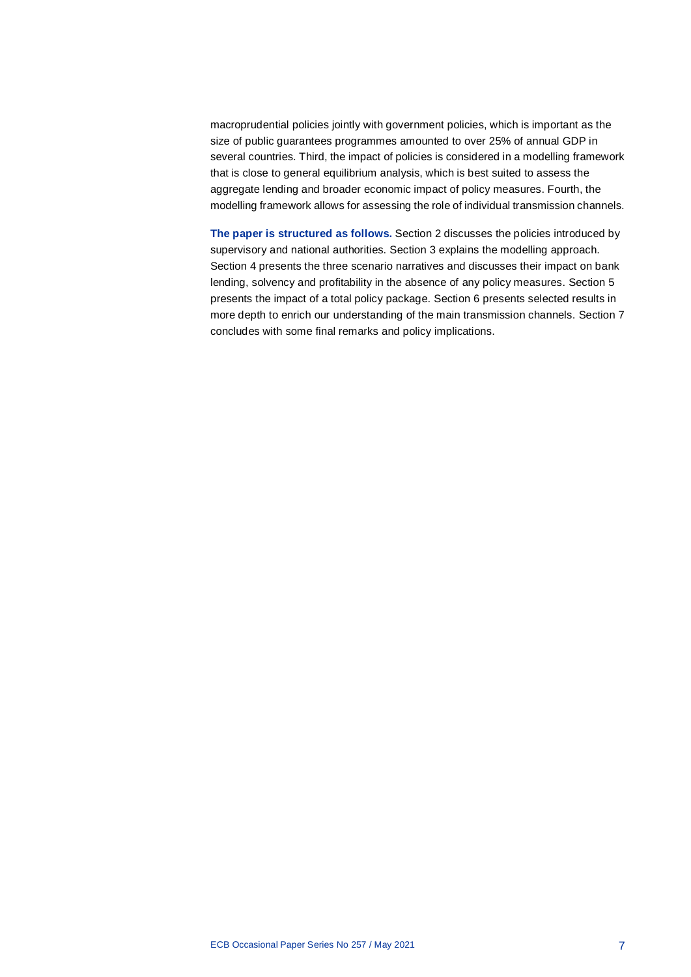macroprudential policies jointly with government policies, which is important as the size of public guarantees programmes amounted to over 25% of annual GDP in several countries. Third, the impact of policies is considered in a modelling framework that is close to general equilibrium analysis, which is best suited to assess the aggregate lending and broader economic impact of policy measures. Fourth, the modelling framework allows for assessing the role of individual transmission channels.

**The paper is structured as follows.** Section 2 discusses the policies introduced by supervisory and national authorities. Section 3 explains the modelling approach. Section 4 presents the three scenario narratives and discusses their impact on bank lending, solvency and profitability in the absence of any policy measures. Section 5 presents the impact of a total policy package. Section 6 presents selected results in more depth to enrich our understanding of the main transmission channels. Section 7 concludes with some final remarks and policy implications.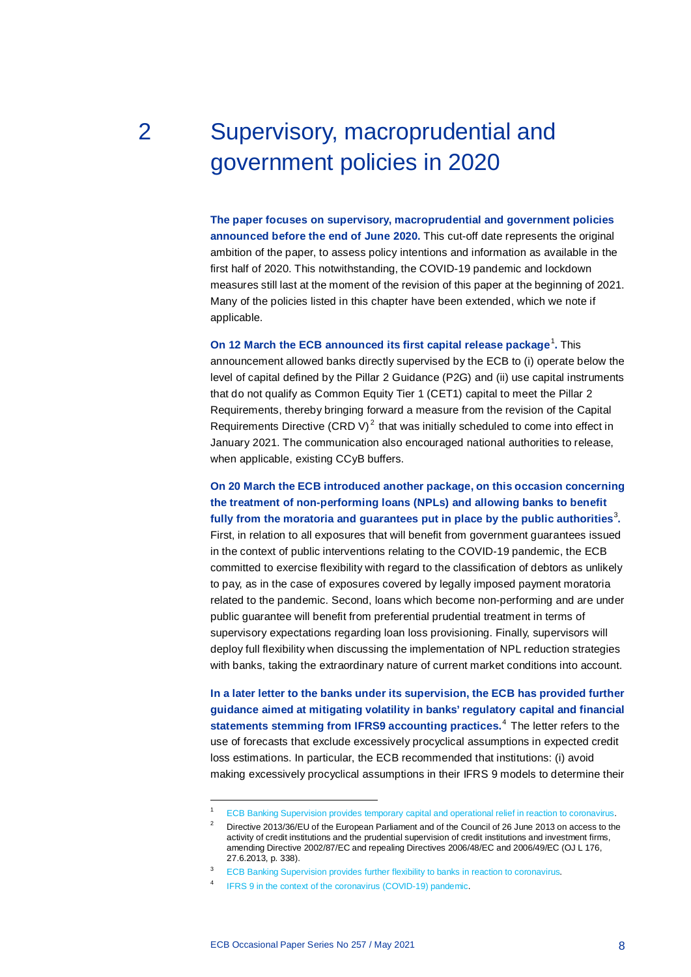# <span id="page-8-0"></span>2 Supervisory, macroprudential and government policies in 2020

**The paper focuses on supervisory, macroprudential and government policies announced before the end of June 2020.** This cut-off date represents the original ambition of the paper, to assess policy intentions and information as available in the first half of 2020. This notwithstanding, the COVID-19 pandemic and lockdown measures still last at the moment of the revision of this paper at the beginning of 2021. Many of the policies listed in this chapter have been extended, which we note if applicable.

**On [1](#page-8-1)2 March the ECB announced its first capital release package<sup>1</sup>. This** announcement allowed banks directly supervised by the ECB to (i) operate below the level of capital defined by the Pillar 2 Guidance (P2G) and (ii) use capital instruments that do not qualify as Common Equity Tier 1 (CET1) capital to meet the Pillar 2 Requirements, thereby bringing forward a measure from the revision of the Capital Requirements Directive (CRD V) $^2$  $^2$  that was initially scheduled to come into effect in January 2021. The communication also encouraged national authorities to release, when applicable, existing CCyB buffers.

**On 20 March the ECB introduced another package, on this occasion concerning the treatment of non-performing loans (NPLs) and allowing banks to benefit fully from the moratoria and guarantees put in place by the public authorities**[3](#page-8-3) **.** First, in relation to all exposures that will benefit from government guarantees issued in the context of public interventions relating to the COVID-19 pandemic, the ECB committed to exercise flexibility with regard to the classification of debtors as unlikely to pay, as in the case of exposures covered by legally imposed payment moratoria related to the pandemic. Second, loans which become non-performing and are under public guarantee will benefit from preferential prudential treatment in terms of supervisory expectations regarding loan loss provisioning. Finally, supervisors will deploy full flexibility when discussing the implementation of NPL reduction strategies with banks, taking the extraordinary nature of current market conditions into account.

**In a later letter to the banks under its supervision, the ECB has provided further guidance aimed at mitigating volatility in banks' regulatory capital and financial statements stemming from IFRS9 accounting practices.**[4](#page-8-4) The letter refers to the use of forecasts that exclude excessively procyclical assumptions in expected credit loss estimations. In particular, the ECB recommended that institutions: (i) avoid making excessively procyclical assumptions in their IFRS 9 models to determine their

1

<sup>1</sup> [ECB Banking Supervision provides temporary capital and operational relief in reaction to coronavirus.](https://www.bankingsupervision.europa.eu/press/pr/date/2020/html/ssm.pr200312%7E43351ac3ac.en.html)

<span id="page-8-2"></span><span id="page-8-1"></span><sup>&</sup>lt;sup>2</sup> Directive 2013/36/EU of the European Parliament and of the Council of 26 June 2013 on access to the activity of credit institutions and the prudential supervision of credit institutions and investment firms, amending Directive 2002/87/EC and repealing Directives 2006/48/EC and 2006/49/EC (OJ L 176, 27.6.2013, p. 338).

<sup>&</sup>lt;sup>3</sup> [ECB Banking Supervision provides further flexibility to banks in reaction to coronavirus.](https://www.bankingsupervision.europa.eu/press/pr/date/2020/html/ssm.pr200320%7E4cdbbcf466.en.html)

<span id="page-8-4"></span><span id="page-8-3"></span>IFRS [9 in the context of the coronavirus \(COVID-19\) pandemic.](https://www.bankingsupervision.europa.eu/press/letterstobanks/shared/pdf/2020/ssm.2020_letter_IFRS_9_in_the_context_of_the_coronavirus_COVID-19_pandemic.en.pdf)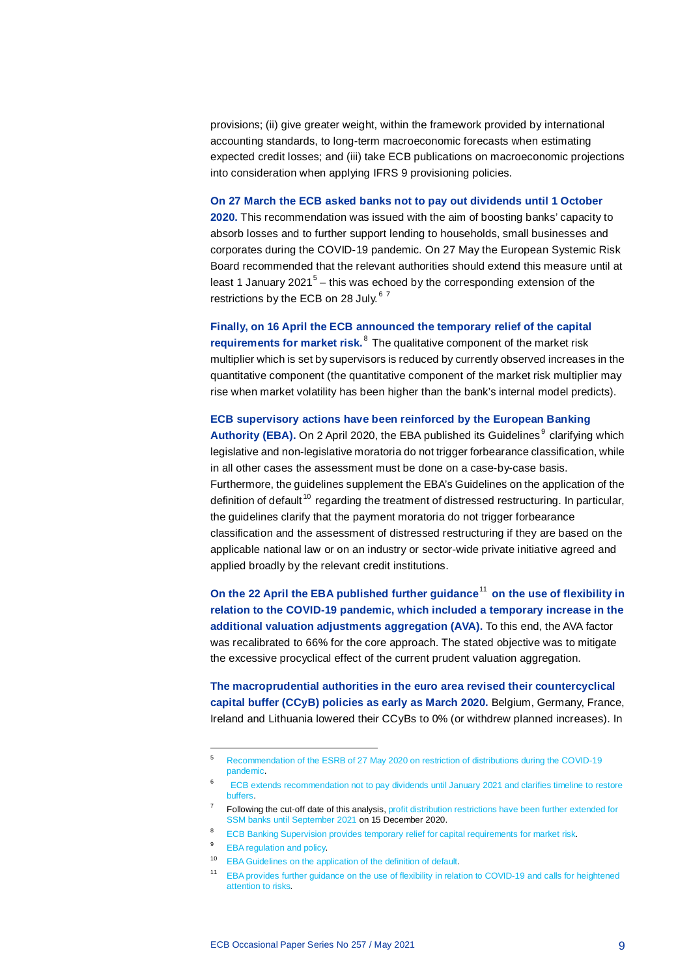provisions; (ii) give greater weight, within the framework provided by international accounting standards, to long-term macroeconomic forecasts when estimating expected credit losses; and (iii) take ECB publications on macroeconomic projections into consideration when applying IFRS 9 provisioning policies.

#### **On 27 March the ECB asked banks not to pay out dividends until 1 October**

**2020.** This recommendation was issued with the aim of boosting banks' capacity to absorb losses and to further support lending to households, small businesses and corporates during the COVID-19 pandemic. On 27 May the European Systemic Risk Board recommended that the relevant authorities should extend this measure until at least 1 January 2021<sup>[5](#page-9-0)</sup> – this was echoed by the corresponding extension of the restrictions by the ECB on 28 July.<sup>[6](#page-9-1)[7](#page-9-2)</sup>

## **Finally, on 16 April the ECB announced the temporary relief of the capital**

**requirements for market risk.** <sup>[8](#page-9-3)</sup> The qualitative component of the market risk multiplier which is set by supervisors is reduced by currently observed increases in the quantitative component (the quantitative component of the market risk multiplier may rise when market volatility has been higher than the bank's internal model predicts).

### **ECB supervisory actions have been reinforced by the European Banking**

**Authority (EBA).** On 2 April 2020, the EBA published its Guidelines<sup>[9](#page-9-4)</sup> clarifying which legislative and non-legislative moratoria do not trigger forbearance classification, while in all other cases the assessment must be done on a case-by-case basis. Furthermore, the guidelines supplement the EBA's Guidelines on the application of the definition of default<sup>[10](#page-9-5)</sup> regarding the treatment of distressed restructuring. In particular, the guidelines clarify that the payment moratoria do not trigger forbearance classification and the assessment of distressed restructuring if they are based on the applicable national law or on an industry or sector-wide private initiative agreed and applied broadly by the relevant credit institutions.

**On the 22 April the EBA published further guidance<sup>[11](#page-9-6)</sup> on the use of flexibility in relation to the COVID-19 pandemic, which included a temporary increase in the additional valuation adjustments aggregation (AVA).** To this end, the AVA factor was recalibrated to 66% for the core approach. The stated objective was to mitigate the excessive procyclical effect of the current prudent valuation aggregation.

**The macroprudential authorities in the euro area revised their countercyclical capital buffer (CCyB) policies as early as March 2020.** Belgium, Germany, France, Ireland and Lithuania lowered their CCyBs to 0% (or withdrew planned increases). In

 $\overline{a}$ 

<span id="page-9-1"></span><span id="page-9-0"></span><sup>5</sup> [Recommendation of the ESRB of 27 May 2020 on restriction of distributions during the COVID-19](https://www.esrb.europa.eu/pub/pdf/recommendations/esrb.recommendation200608_on_restriction_of_distributions_during_the_COVID-19_pandemic_2%7Ef4cdad4ec1.en.pdf)  [pandemic.](https://www.esrb.europa.eu/pub/pdf/recommendations/esrb.recommendation200608_on_restriction_of_distributions_during_the_COVID-19_pandemic_2%7Ef4cdad4ec1.en.pdf)

<sup>6</sup> [ECB extends recommendation not to pay dividends until January 2021 and clarifies timeline to restore](https://www.bankingsupervision.europa.eu/press/pr/date/2020/html/ssm.pr200728_1%7E42a74a0b86.en.html)  [buffers.](https://www.bankingsupervision.europa.eu/press/pr/date/2020/html/ssm.pr200728_1%7E42a74a0b86.en.html)

 $7$  Following the cut-off date of this analysis, profit distribution restrictions have been further extended for SSM banks until September 2021 on 15 December 2020.

<span id="page-9-2"></span><sup>&</sup>lt;sup>8</sup> [ECB Banking Supervision provides temporary relief for capital requirements for market risk.](https://www.bankingsupervision.europa.eu/press/pr/date/2020/html/ssm.pr200416%7Eecf270bca8.en.html)

<span id="page-9-4"></span><span id="page-9-3"></span><sup>9</sup> [EBA regulation and policy.](https://www.eba.europa.eu/regulation-and-policy/credit-risk/guidelines-legislative-and-non-legislative-moratoria-loan-repayments-applied-light-covid-19-crisis)

<span id="page-9-6"></span><span id="page-9-5"></span><sup>10</sup> [EBA Guidelines on the application of the definition of default.](https://www.eba.europa.eu/regulation-and-policy/credit-risk/guidelines-on-the-application-of-the-definition-of-default)

<sup>11</sup> [EBA provides further guidance on the use of flexibility in relation to COVID-19 and calls for heightened](https://eba.europa.eu/eba-provides-further-guidance-use-flexibility-relation-covid-19-and-calls-heightened-attention-risks)  [attention to risks.](https://eba.europa.eu/eba-provides-further-guidance-use-flexibility-relation-covid-19-and-calls-heightened-attention-risks)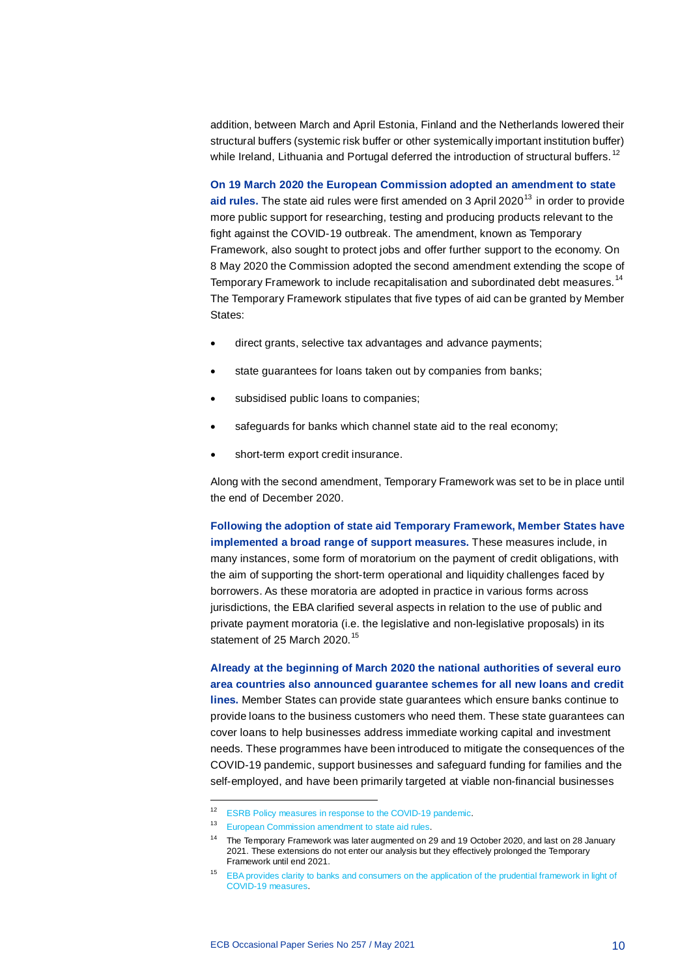addition, between March and April Estonia, Finland and the Netherlands lowered their structural buffers (systemic risk buffer or other systemically important institution buffer) while Ireland, Lithuania and Portugal deferred the introduction of structural buffers.<sup>[12](#page-10-0)</sup>

**On 19 March 2020 the European Commission adopted an amendment to state**  aid rules. The state aid rules were first amended on 3 April 2020<sup>[13](#page-10-1)</sup> in order to provide more public support for researching, testing and producing products relevant to the fight against the COVID-19 outbreak. The amendment, known as Temporary Framework, also sought to protect jobs and offer further support to the economy. On 8 May 2020 the Commission adopted the second amendment extending the scope of Temporary Framework to include recapitalisation and subordinated debt measures.<sup>[14](#page-10-2)</sup> The Temporary Framework stipulates that five types of aid can be granted by Member States:

- direct grants, selective tax advantages and advance payments;
- state guarantees for loans taken out by companies from banks;
- subsidised public loans to companies:
- safeguards for banks which channel state aid to the real economy;
- short-term export credit insurance.

Along with the second amendment, Temporary Framework was set to be in place until the end of December 2020.

**Following the adoption of state aid Temporary Framework, Member States have implemented a broad range of support measures.** These measures include, in many instances, some form of moratorium on the payment of credit obligations, with the aim of supporting the short-term operational and liquidity challenges faced by borrowers. As these moratoria are adopted in practice in various forms across jurisdictions, the EBA clarified several aspects in relation to the use of public and private payment moratoria (i.e. the legislative and non-legislative proposals) in its statement of 25 March 2020.<sup>[15](#page-10-3)</sup>

**Already at the beginning of March 2020 the national authorities of several euro area countries also announced guarantee schemes for all new loans and credit lines.** Member States can provide state guarantees which ensure banks continue to provide loans to the business customers who need them. These state guarantees can cover loans to help businesses address immediate working capital and investment needs. These programmes have been introduced to mitigate the consequences of the COVID-19 pandemic, support businesses and safeguard funding for families and the self-employed, and have been primarily targeted at viable non-financial businesses

1

<sup>12</sup> [ESRB Policy measures in response to the COVID-19 pandemic.](https://www.esrb.europa.eu/home/coronavirus/html/index.en.html)

<span id="page-10-2"></span><span id="page-10-1"></span><span id="page-10-0"></span><sup>13</sup> [European Commission amendment to state aid rules.](https://ec.europa.eu/competition/state_aid/what_is_new/TF_consolidated_version_amended_3_april_8_may_29_june_and_13_oct_2020_en.pdf)

<sup>&</sup>lt;sup>14</sup> The Temporary Framework was later augmented on 29 and 19 October 2020, and last on 28 January 2021. These extensions do not enter our analysis but they effectively prolonged the Temporary Framework until end 2021.

<span id="page-10-3"></span><sup>15</sup> [EBA provides clarity to banks and consumers on the application of the prudential framework in light of](https://www.eba.europa.eu/eba-provides-clarity-banks-consumers-application-prudential-framework-light-covid-19-measures)  [COVID-19 measures.](https://www.eba.europa.eu/eba-provides-clarity-banks-consumers-application-prudential-framework-light-covid-19-measures)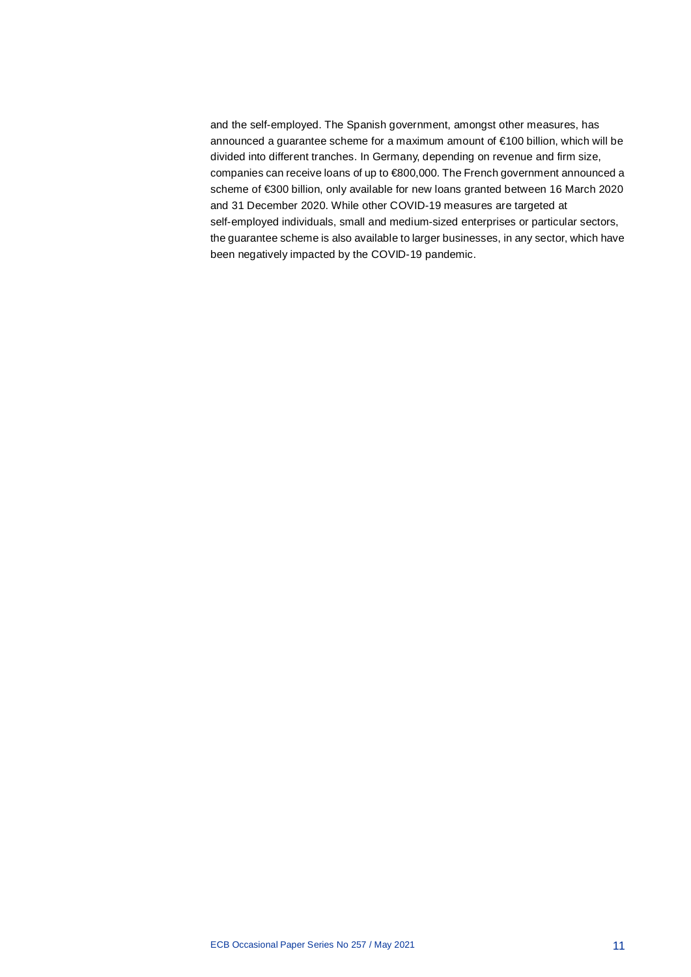and the self-employed. The Spanish government, amongst other measures, has announced a guarantee scheme for a maximum amount of €100 billion, which will be divided into different tranches. In Germany, depending on revenue and firm size, companies can receive loans of up to €800,000. The French government announced a scheme of €300 billion, only available for new loans granted between 16 March 2020 and 31 December 2020. While other COVID-19 measures are targeted at self-employed individuals, small and medium-sized enterprises or particular sectors, the guarantee scheme is also available to larger businesses, in any sector, which have been negatively impacted by the COVID-19 pandemic.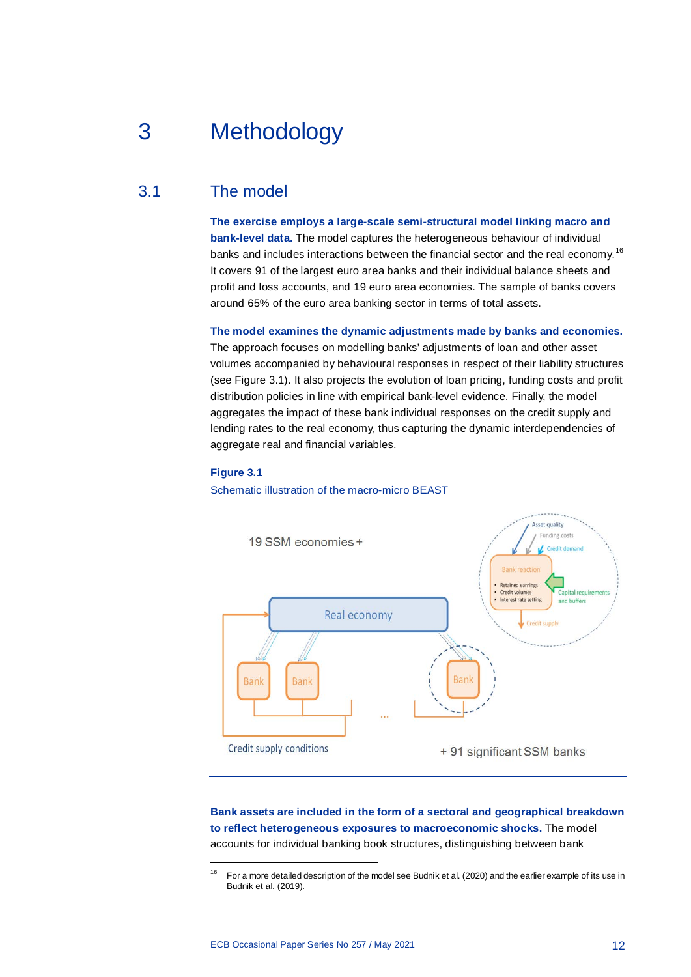# <span id="page-12-0"></span>3 Methodology

# 3.1 The model

<span id="page-12-1"></span>**The exercise employs a large-scale semi-structural model linking macro and bank-level data.** The model captures the heterogeneous behaviour of individual banks and includes interactions between the financial sector and the real economy.<sup>[16](#page-12-2)</sup> It covers 91 of the largest euro area banks and their individual balance sheets and profit and loss accounts, and 19 euro area economies. The sample of banks covers around 65% of the euro area banking sector in terms of total assets.

**The model examines the dynamic adjustments made by banks and economies.**

The approach focuses on modelling banks' adjustments of loan and other asset volumes accompanied by behavioural responses in respect of their liability structures (see Figure 3.1). It also projects the evolution of loan pricing, funding costs and profit distribution policies in line with empirical bank-level evidence. Finally, the model aggregates the impact of these bank individual responses on the credit supply and lending rates to the real economy, thus capturing the dynamic interdependencies of aggregate real and financial variables.

#### **Figure 3.1**

<span id="page-12-2"></span>1

Schematic illustration of the macro-micro BEAST



# **Bank assets are included in the form of a sectoral and geographical breakdown to reflect heterogeneous exposures to macroeconomic shocks.** The model accounts for individual banking book structures, distinguishing between bank

<sup>16</sup> For a more detailed description of the model see Budnik et al. (2020) and the earlier example of its use in Budnik et al. (2019).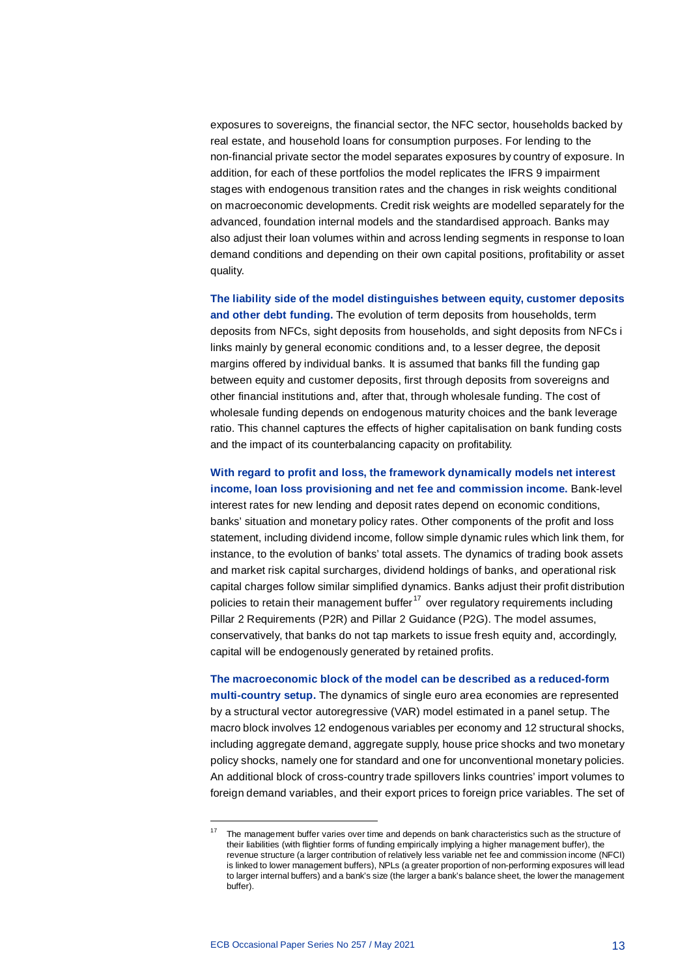exposures to sovereigns, the financial sector, the NFC sector, households backed by real estate, and household loans for consumption purposes. For lending to the non-financial private sector the model separates exposures by country of exposure. In addition, for each of these portfolios the model replicates the IFRS 9 impairment stages with endogenous transition rates and the changes in risk weights conditional on macroeconomic developments. Credit risk weights are modelled separately for the advanced, foundation internal models and the standardised approach. Banks may also adjust their loan volumes within and across lending segments in response to loan demand conditions and depending on their own capital positions, profitability or asset quality.

**The liability side of the model distinguishes between equity, customer deposits and other debt funding.** The evolution of term deposits from households, term deposits from NFCs, sight deposits from households, and sight deposits from NFCs i links mainly by general economic conditions and, to a lesser degree, the deposit margins offered by individual banks. It is assumed that banks fill the funding gap between equity and customer deposits, first through deposits from sovereigns and other financial institutions and, after that, through wholesale funding. The cost of wholesale funding depends on endogenous maturity choices and the bank leverage ratio. This channel captures the effects of higher capitalisation on bank funding costs and the impact of its counterbalancing capacity on profitability.

**With regard to profit and loss, the framework dynamically models net interest income, loan loss provisioning and net fee and commission income.** Bank-level interest rates for new lending and deposit rates depend on economic conditions, banks' situation and monetary policy rates. Other components of the profit and loss statement, including dividend income, follow simple dynamic rules which link them, for instance, to the evolution of banks' total assets. The dynamics of trading book assets and market risk capital surcharges, dividend holdings of banks, and operational risk capital charges follow similar simplified dynamics. Banks adjust their profit distribution policies to retain their management buffer<sup>[17](#page-13-0)</sup> over regulatory requirements including Pillar 2 Requirements (P2R) and Pillar 2 Guidance (P2G). The model assumes, conservatively, that banks do not tap markets to issue fresh equity and, accordingly, capital will be endogenously generated by retained profits.

**The macroeconomic block of the model can be described as a reduced-form multi-country setup.** The dynamics of single euro area economies are represented by a structural vector autoregressive (VAR) model estimated in a panel setup. The macro block involves 12 endogenous variables per economy and 12 structural shocks, including aggregate demand, aggregate supply, house price shocks and two monetary policy shocks, namely one for standard and one for unconventional monetary policies. An additional block of cross-country trade spillovers links countries' import volumes to foreign demand variables, and their export prices to foreign price variables. The set of

<span id="page-13-0"></span>1

The management buffer varies over time and depends on bank characteristics such as the structure of their liabilities (with flightier forms of funding empirically implying a higher management buffer), the revenue structure (a larger contribution of relatively less variable net fee and commission income (NFCI) is linked to lower management buffers), NPLs (a greater proportion of non-performing exposures will lead to larger internal buffers) and a bank's size (the larger a bank's balance sheet, the lower the management buffer).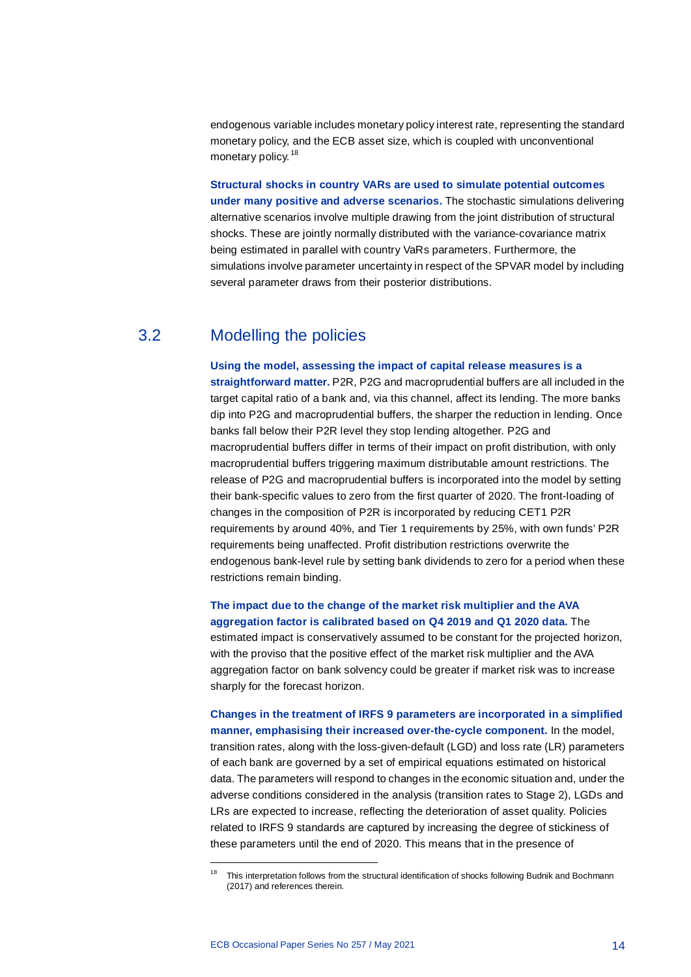endogenous variable includes monetary policy interest rate, representing the standard monetary policy, and the ECB asset size, which is coupled with unconventional monetary policy.<sup>[18](#page-14-1)</sup>

**Structural shocks in country VARs are used to simulate potential outcomes under many positive and adverse scenarios.** The stochastic simulations delivering alternative scenarios involve multiple drawing from the joint distribution of structural shocks. These are jointly normally distributed with the variance-covariance matrix being estimated in parallel with country VaRs parameters. Furthermore, the simulations involve parameter uncertainty in respect of the SPVAR model by including several parameter draws from their posterior distributions.

# 3.2 Modelling the policies

<span id="page-14-0"></span>**Using the model, assessing the impact of capital release measures is a straightforward matter.** P2R, P2G and macroprudential buffers are all included in the target capital ratio of a bank and, via this channel, affect its lending. The more banks dip into P2G and macroprudential buffers, the sharper the reduction in lending. Once banks fall below their P2R level they stop lending altogether. P2G and macroprudential buffers differ in terms of their impact on profit distribution, with only macroprudential buffers triggering maximum distributable amount restrictions. The release of P2G and macroprudential buffers is incorporated into the model by setting their bank-specific values to zero from the first quarter of 2020. The front-loading of changes in the composition of P2R is incorporated by reducing CET1 P2R requirements by around 40%, and Tier 1 requirements by 25%, with own funds' P2R requirements being unaffected. Profit distribution restrictions overwrite the endogenous bank-level rule by setting bank dividends to zero for a period when these restrictions remain binding.

**The impact due to the change of the market risk multiplier and the AVA aggregation factor is calibrated based on Q4 2019 and Q1 2020 data.** The estimated impact is conservatively assumed to be constant for the projected horizon, with the proviso that the positive effect of the market risk multiplier and the AVA aggregation factor on bank solvency could be greater if market risk was to increase sharply for the forecast horizon.

**Changes in the treatment of IRFS 9 parameters are incorporated in a simplified manner, emphasising their increased over-the-cycle component.** In the model, transition rates, along with the loss-given-default (LGD) and loss rate (LR) parameters of each bank are governed by a set of empirical equations estimated on historical data. The parameters will respond to changes in the economic situation and, under the adverse conditions considered in the analysis (transition rates to Stage 2), LGDs and LRs are expected to increase, reflecting the deterioration of asset quality. Policies related to IRFS 9 standards are captured by increasing the degree of stickiness of these parameters until the end of 2020. This means that in the presence of

<span id="page-14-1"></span>1

<sup>18</sup> This interpretation follows from the structural identification of shocks following Budnik and Bochmann (2017) and references therein.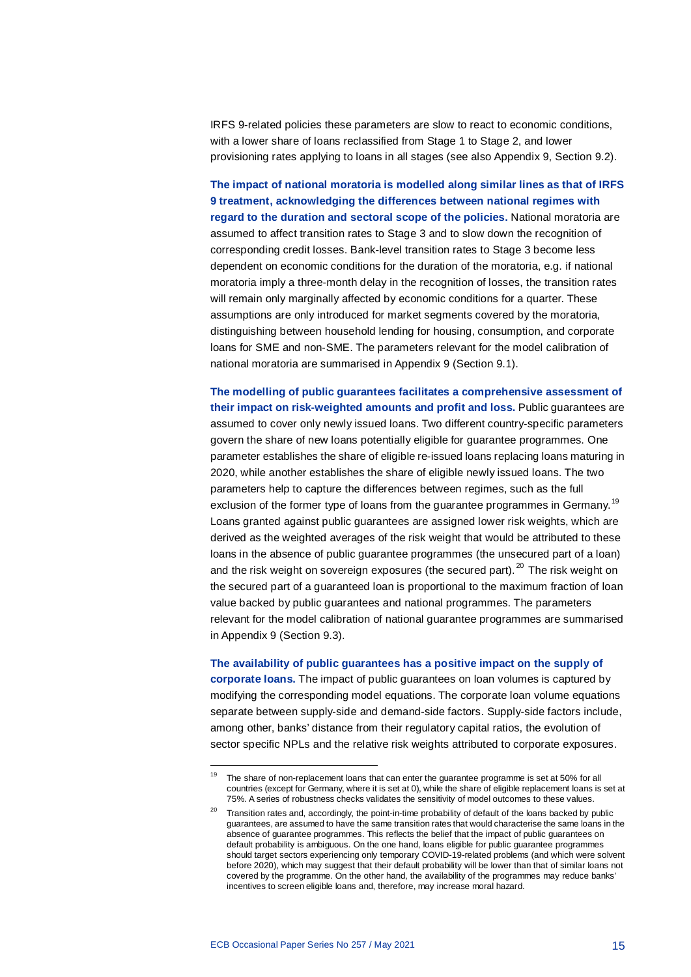IRFS 9-related policies these parameters are slow to react to economic conditions, with a lower share of loans reclassified from Stage 1 to Stage 2, and lower provisioning rates applying to loans in all stages (see also Appendix 9, Section 9.2).

**The impact of national moratoria is modelled along similar lines as that of IRFS 9 treatment, acknowledging the differences between national regimes with regard to the duration and sectoral scope of the policies.** National moratoria are assumed to affect transition rates to Stage 3 and to slow down the recognition of corresponding credit losses. Bank-level transition rates to Stage 3 become less dependent on economic conditions for the duration of the moratoria, e.g. if national moratoria imply a three-month delay in the recognition of losses, the transition rates will remain only marginally affected by economic conditions for a quarter. These assumptions are only introduced for market segments covered by the moratoria, distinguishing between household lending for housing, consumption, and corporate loans for SME and non-SME. The parameters relevant for the model calibration of national moratoria are summarised in Appendix 9 (Section 9.1).

**The modelling of public guarantees facilitates a comprehensive assessment of their impact on risk-weighted amounts and profit and loss.** Public guarantees are assumed to cover only newly issued loans. Two different country-specific parameters govern the share of new loans potentially eligible for guarantee programmes. One parameter establishes the share of eligible re-issued loans replacing loans maturing in 2020, while another establishes the share of eligible newly issued loans. The two parameters help to capture the differences between regimes, such as the full exclusion of the former type of loans from the guarantee programmes in Germany.<sup>[19](#page-15-0)</sup> Loans granted against public guarantees are assigned lower risk weights, which are derived as the weighted averages of the risk weight that would be attributed to these loans in the absence of public guarantee programmes (the unsecured part of a loan) and the risk weight on sovereign exposures (the secured part).  $^{20}$  $^{20}$  $^{20}$  The risk weight on the secured part of a guaranteed loan is proportional to the maximum fraction of loan value backed by public guarantees and national programmes. The parameters relevant for the model calibration of national guarantee programmes are summarised in Appendix 9 (Section 9.3).

**The availability of public guarantees has a positive impact on the supply of corporate loans.** The impact of public guarantees on loan volumes is captured by modifying the corresponding model equations. The corporate loan volume equations separate between supply-side and demand-side factors. Supply-side factors include, among other, banks' distance from their regulatory capital ratios, the evolution of sector specific NPLs and the relative risk weights attributed to corporate exposures.

j

<span id="page-15-0"></span>The share of non-replacement loans that can enter the guarantee programme is set at 50% for all countries (except for Germany, where it is set at 0), while the share of eligible replacement loans is set at 75%. A series of robustness checks validates the sensitivity of model outcomes to these values.

<span id="page-15-1"></span><sup>&</sup>lt;sup>20</sup> Transition rates and, accordingly, the point-in-time probability of default of the loans backed by public guarantees, are assumed to have the same transition rates that would characterise the same loans in the absence of guarantee programmes. This reflects the belief that the impact of public guarantees on default probability is ambiguous. On the one hand, loans eligible for public guarantee programmes should target sectors experiencing only temporary COVID-19-related problems (and which were solvent before 2020), which may suggest that their default probability will be lower than that of similar loans not covered by the programme. On the other hand, the availability of the programmes may reduce banks' incentives to screen eligible loans and, therefore, may increase moral hazard.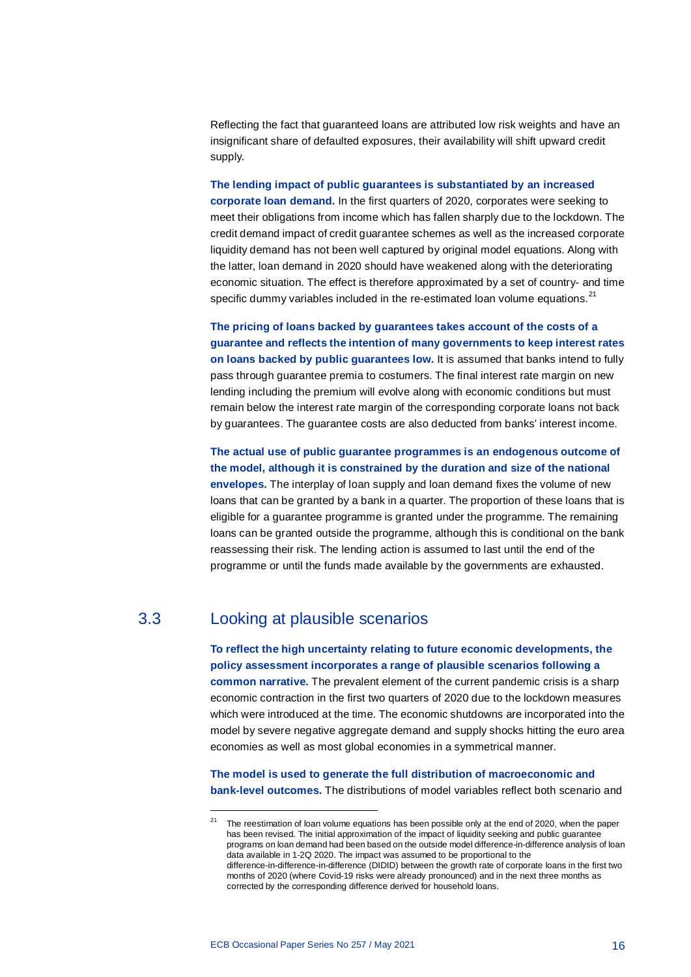Reflecting the fact that guaranteed loans are attributed low risk weights and have an insignificant share of defaulted exposures, their availability will shift upward credit supply.

**The lending impact of public guarantees is substantiated by an increased corporate loan demand.** In the first quarters of 2020, corporates were seeking to meet their obligations from income which has fallen sharply due to the lockdown. The credit demand impact of credit guarantee schemes as well as the increased corporate liquidity demand has not been well captured by original model equations. Along with the latter, loan demand in 2020 should have weakened along with the deteriorating economic situation. The effect is therefore approximated by a set of country- and time specific dummy variables included in the re-estimated loan volume equations.<sup>[21](#page-16-1)</sup>

**The pricing of loans backed by guarantees takes account of the costs of a guarantee and reflects the intention of many governments to keep interest rates on loans backed by public guarantees low.** It is assumed that banks intend to fully pass through guarantee premia to costumers. The final interest rate margin on new lending including the premium will evolve along with economic conditions but must remain below the interest rate margin of the corresponding corporate loans not back by guarantees. The guarantee costs are also deducted from banks' interest income.

**The actual use of public guarantee programmes is an endogenous outcome of the model, although it is constrained by the duration and size of the national envelopes.** The interplay of loan supply and loan demand fixes the volume of new loans that can be granted by a bank in a quarter. The proportion of these loans that is eligible for a guarantee programme is granted under the programme. The remaining loans can be granted outside the programme, although this is conditional on the bank reassessing their risk. The lending action is assumed to last until the end of the programme or until the funds made available by the governments are exhausted.

# 3.3 Looking at plausible scenarios

<span id="page-16-1"></span>1

<span id="page-16-0"></span>**To reflect the high uncertainty relating to future economic developments, the policy assessment incorporates a range of plausible scenarios following a common narrative.** The prevalent element of the current pandemic crisis is a sharp economic contraction in the first two quarters of 2020 due to the lockdown measures which were introduced at the time. The economic shutdowns are incorporated into the model by severe negative aggregate demand and supply shocks hitting the euro area economies as well as most global economies in a symmetrical manner.

**The model is used to generate the full distribution of macroeconomic and bank-level outcomes.** The distributions of model variables reflect both scenario and

The reestimation of loan volume equations has been possible only at the end of 2020, when the paper has been revised. The initial approximation of the impact of liquidity seeking and public guarantee programs on loan demand had been based on the outside model difference-in-difference analysis of loan data available in 1-2Q 2020. The impact was assumed to be proportional to the difference-in-difference-in-difference (DIDID) between the growth rate of corporate loans in the first two months of 2020 (where Covid-19 risks were already pronounced) and in the next three months as corrected by the corresponding difference derived for household loans.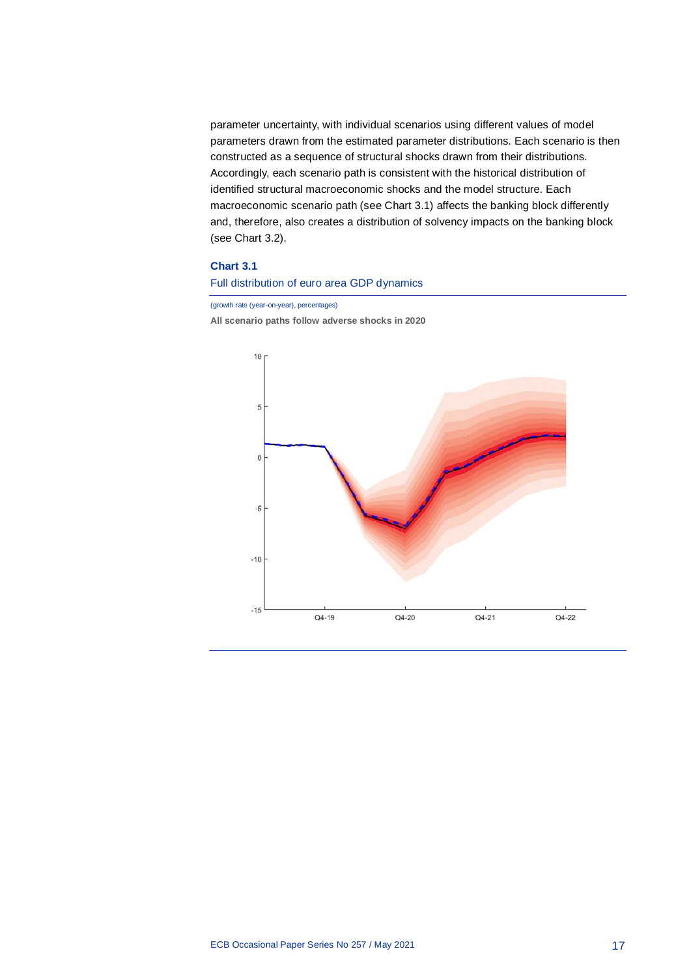parameter uncertainty, with individual scenarios using different values of model parameters drawn from the estimated parameter distributions. Each scenario is then constructed as a sequence of structural shocks drawn from their distributions. Accordingly, each scenario path is consistent with the historical distribution of identified structural macroeconomic shocks and the model structure. Each macroeconomic scenario path (see Chart 3.1) affects the banking block differently and, therefore, also creates a distribution of solvency impacts on the banking block (see Chart 3.2).

### **Chart 3.1**

## Full distribution of euro area GDP dynamics

(growth rate (year-on-year), percentages)

**All scenario paths follow adverse shocks in 2020**

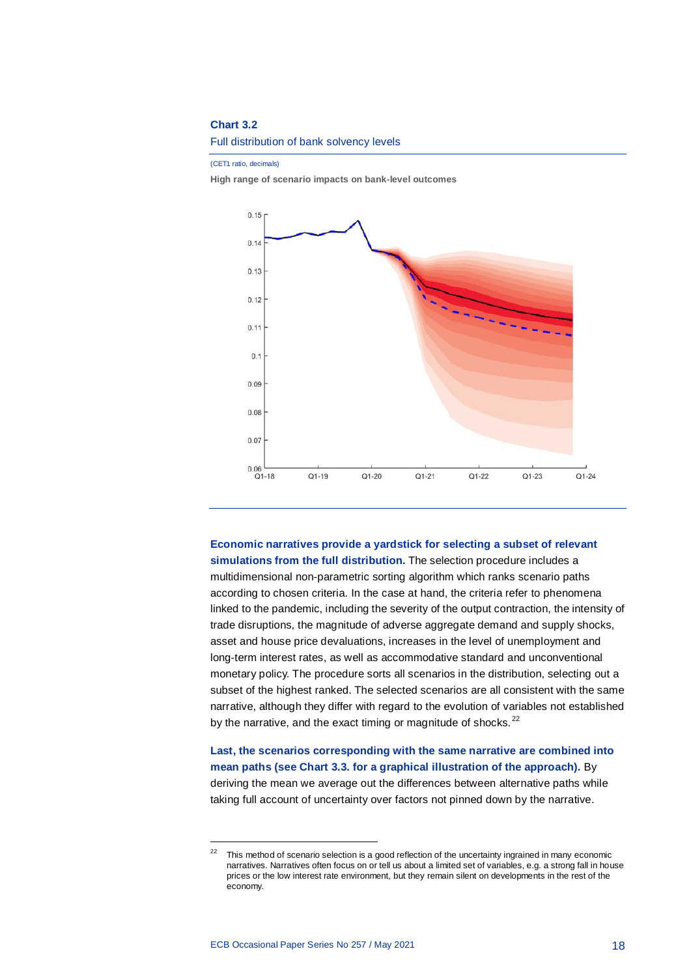#### **Chart 3.2**

Full distribution of bank solvency levels

(CET1 ratio, decimals)

**High range of scenario impacts on bank-level outcomes**



**Economic narratives provide a yardstick for selecting a subset of relevant simulations from the full distribution.** The selection procedure includes a multidimensional non-parametric sorting algorithm which ranks scenario paths according to chosen criteria. In the case at hand, the criteria refer to phenomena linked to the pandemic, including the severity of the output contraction, the intensity of trade disruptions, the magnitude of adverse aggregate demand and supply shocks, asset and house price devaluations, increases in the level of unemployment and long-term interest rates, as well as accommodative standard and unconventional monetary policy. The procedure sorts all scenarios in the distribution, selecting out a subset of the highest ranked. The selected scenarios are all consistent with the same narrative, although they differ with regard to the evolution of variables not established by the narrative, and the exact timing or magnitude of shocks.<sup>[22](#page-18-0)</sup>

**Last, the scenarios corresponding with the same narrative are combined into mean paths (see Chart 3.3. for a graphical illustration of the approach).** By deriving the mean we average out the differences between alternative paths while taking full account of uncertainty over factors not pinned down by the narrative.

1

<span id="page-18-0"></span><sup>&</sup>lt;sup>22</sup> This method of scenario selection is a good reflection of the uncertainty ingrained in many economic narratives. Narratives often focus on or tell us about a limited set of variables, e.g. a strong fall in house prices or the low interest rate environment, but they remain silent on developments in the rest of the economy.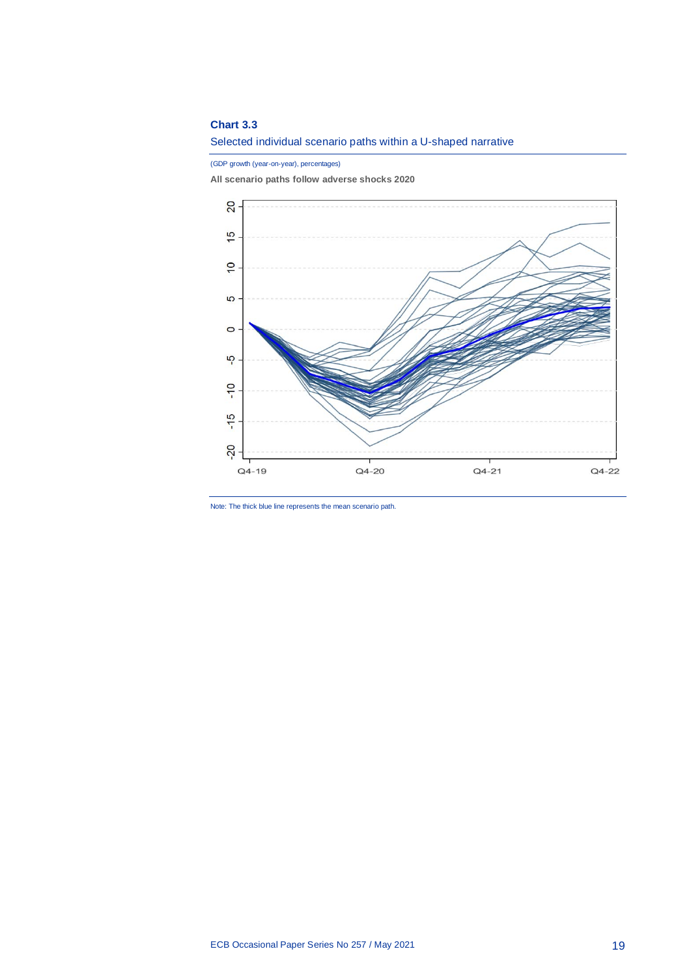## **Chart 3.3**

Selected individual scenario paths within a U-shaped narrative

(GDP growth (year-on-year), percentages)

**All scenario paths follow adverse shocks 2020**



Note: The thick blue line represents the mean scenario path.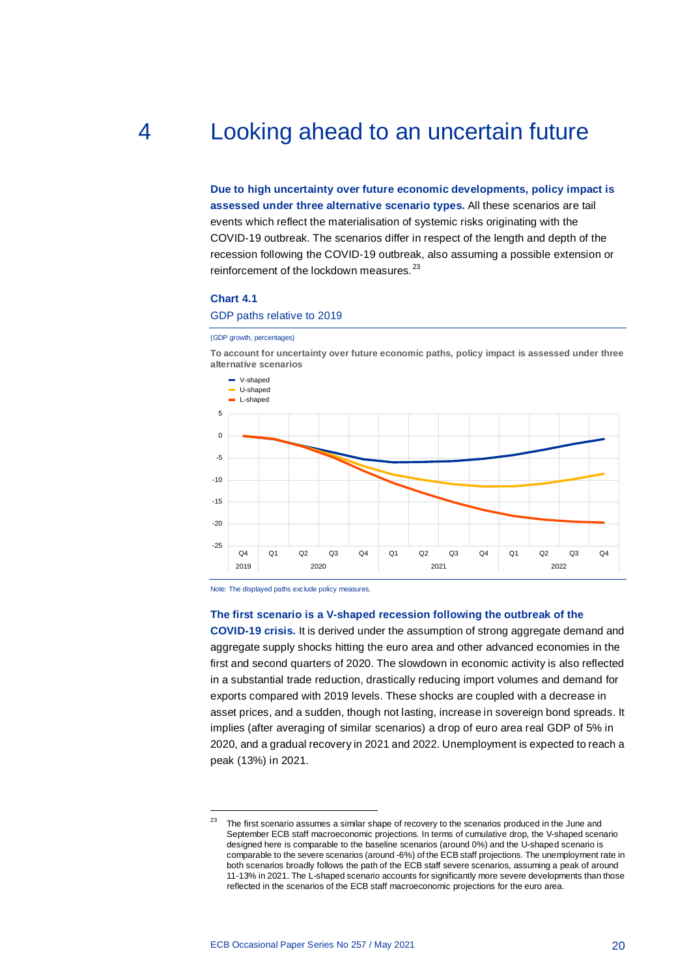# 4 Looking ahead to an uncertain future

<span id="page-20-0"></span>**Due to high uncertainty over future economic developments, policy impact is assessed under three alternative scenario types.** All these scenarios are tail events which reflect the materialisation of systemic risks originating with the COVID-19 outbreak. The scenarios differ in respect of the length and depth of the recession following the COVID-19 outbreak, also assuming a possible extension or reinforcement of the lockdown measures.<sup>[23](#page-20-1)</sup>

## **Chart 4.1**

#### GDP paths relative to 2019

#### (GDP growth, percentages)

**To account for uncertainty over future economic paths, policy impact is assessed under three alternative scenarios**



Note: The displayed paths exclude policy measures.

1

#### **The first scenario is a V-shaped recession following the outbreak of the**

**COVID-19 crisis.** It is derived under the assumption of strong aggregate demand and aggregate supply shocks hitting the euro area and other advanced economies in the first and second quarters of 2020. The slowdown in economic activity is also reflected in a substantial trade reduction, drastically reducing import volumes and demand for exports compared with 2019 levels. These shocks are coupled with a decrease in asset prices, and a sudden, though not lasting, increase in sovereign bond spreads. It implies (after averaging of similar scenarios) a drop of euro area real GDP of 5% in 2020, and a gradual recovery in 2021 and 2022. Unemployment is expected to reach a peak (13%) in 2021.

<span id="page-20-1"></span><sup>&</sup>lt;sup>23</sup> The first scenario assumes a similar shape of recovery to the scenarios produced in the June and September ECB staff macroeconomic projections. In terms of cumulative drop, the V-shaped scenario designed here is comparable to the baseline scenarios (around 0%) and the U-shaped scenario is comparable to the severe scenarios (around -6%) of the ECB staff projections. The unemployment rate in both scenarios broadly follows the path of the ECB staff severe scenarios, assuming a peak of around 11-13% in 2021. The L-shaped scenario accounts for significantly more severe developments than those reflected in the scenarios of the ECB staff macroeconomic projections for the euro area.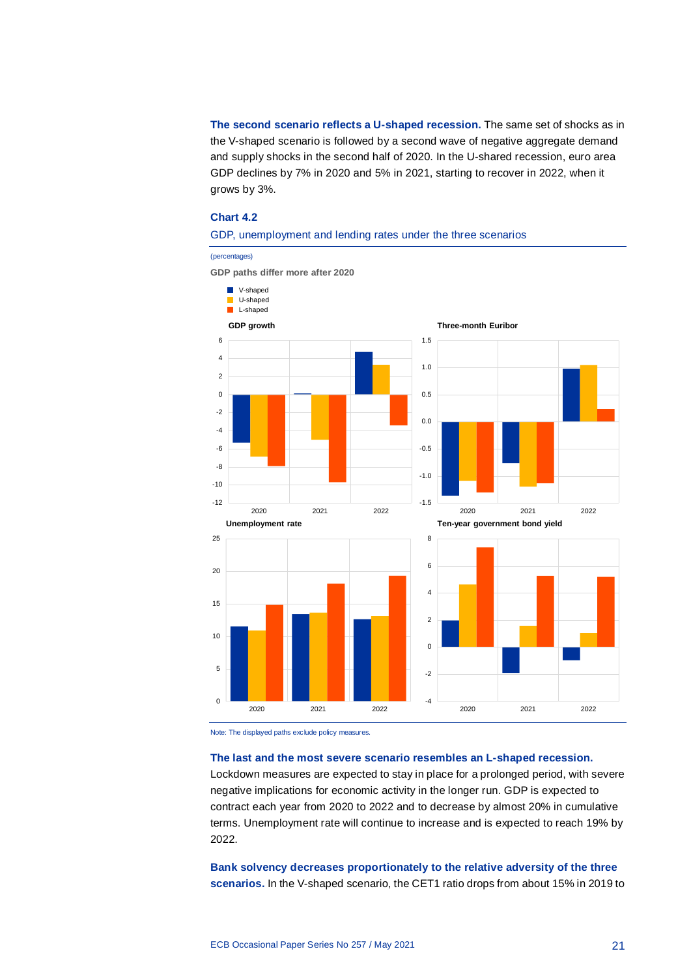**The second scenario reflects a U-shaped recession.** The same set of shocks as in the V-shaped scenario is followed by a second wave of negative aggregate demand and supply shocks in the second half of 2020. In the U-shared recession, euro area GDP declines by 7% in 2020 and 5% in 2021, starting to recover in 2022, when it grows by 3%.

#### **Chart 4.2**

### GDP, unemployment and lending rates under the three scenarios

(percentages)

**GDP paths differ more after 2020**



Note: The displayed paths exclude policy measures.

#### **The last and the most severe scenario resembles an L-shaped recession.**

Lockdown measures are expected to stay in place for a prolonged period, with severe negative implications for economic activity in the longer run. GDP is expected to contract each year from 2020 to 2022 and to decrease by almost 20% in cumulative terms. Unemployment rate will continue to increase and is expected to reach 19% by 2022.

**Bank solvency decreases proportionately to the relative adversity of the three scenarios.** In the V-shaped scenario, the CET1 ratio drops from about 15% in 2019 to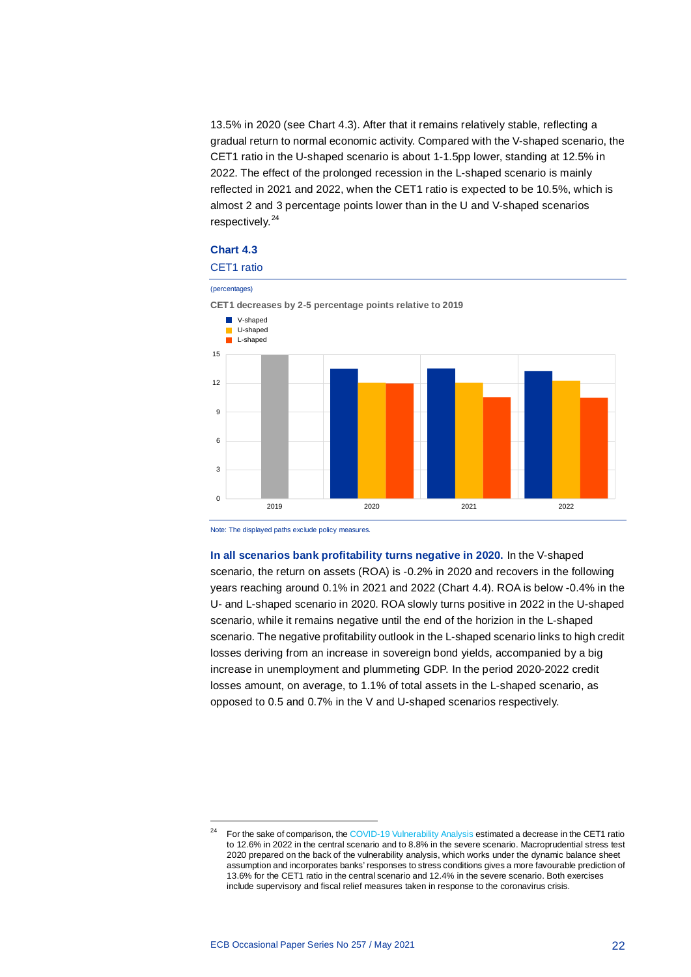13.5% in 2020 (see Chart 4.3). After that it remains relatively stable, reflecting a gradual return to normal economic activity. Compared with the V-shaped scenario, the CET1 ratio in the U-shaped scenario is about 1-1.5pp lower, standing at 12.5% in 2022. The effect of the prolonged recession in the L-shaped scenario is mainly reflected in 2021 and 2022, when the CET1 ratio is expected to be 10.5%, which is almost 2 and 3 percentage points lower than in the U and V-shaped scenarios respectively.<sup>[24](#page-22-0)</sup>

## **Chart 4.3**



Note: The displayed paths exclude policy measures.

**In all scenarios bank profitability turns negative in 2020.** In the V-shaped scenario, the return on assets (ROA) is -0.2% in 2020 and recovers in the following years reaching around 0.1% in 2021 and 2022 (Chart 4.4). ROA is below -0.4% in the U- and L-shaped scenario in 2020. ROA slowly turns positive in 2022 in the U-shaped scenario, while it remains negative until the end of the horizion in the L-shaped scenario. The negative profitability outlook in the L-shaped scenario links to high credit losses deriving from an increase in sovereign bond yields, accompanied by a big increase in unemployment and plummeting GDP. In the period 2020-2022 credit losses amount, on average, to 1.1% of total assets in the L-shaped scenario, as opposed to 0.5 and 0.7% in the V and U-shaped scenarios respectively.

<span id="page-22-0"></span>1

<sup>24</sup> For the sake of comparison, th[e COVID-19 Vulnerability Analysis](https://www.bankingsupervision.europa.eu/press/pr/date/2020/html/ssm.pr200728_annex%7Ed36d893ca2.en.pdf) estimated a decrease in the CET1 ratio to 12.6% in 2022 in the central scenario and to 8.8% in the severe scenario. Macroprudential stress test 2020 prepared on the back of the vulnerability analysis, which works under the dynamic balance sheet assumption and incorporates banks' responses to stress conditions gives a more favourable prediction of 13.6% for the CET1 ratio in the central scenario and 12.4% in the severe scenario. Both exercises include supervisory and fiscal relief measures taken in response to the coronavirus crisis.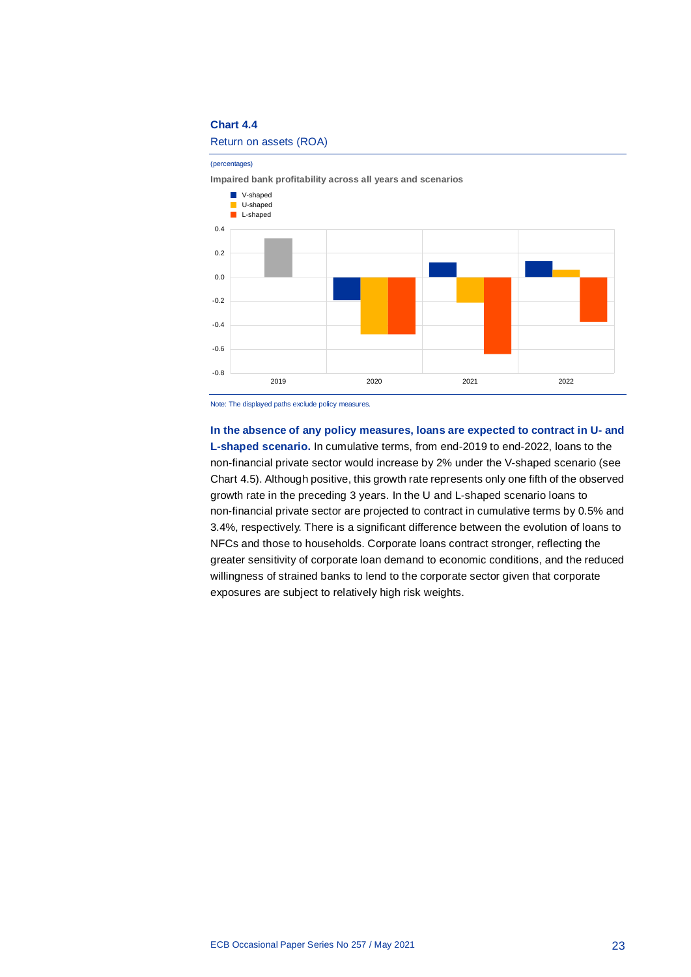## **Chart 4.4**

#### Return on assets (ROA)

(percentages)

**Impaired bank profitability across all years and scenarios**



Note: The displayed paths exclude policy measures.

**In the absence of any policy measures, loans are expected to contract in U- and L-shaped scenario.** In cumulative terms, from end-2019 to end-2022, loans to the non-financial private sector would increase by 2% under the V-shaped scenario (see Chart 4.5). Although positive, this growth rate represents only one fifth of the observed growth rate in the preceding 3 years. In the U and L-shaped scenario loans to non-financial private sector are projected to contract in cumulative terms by 0.5% and 3.4%, respectively. There is a significant difference between the evolution of loans to NFCs and those to households. Corporate loans contract stronger, reflecting the greater sensitivity of corporate loan demand to economic conditions, and the reduced willingness of strained banks to lend to the corporate sector given that corporate exposures are subject to relatively high risk weights.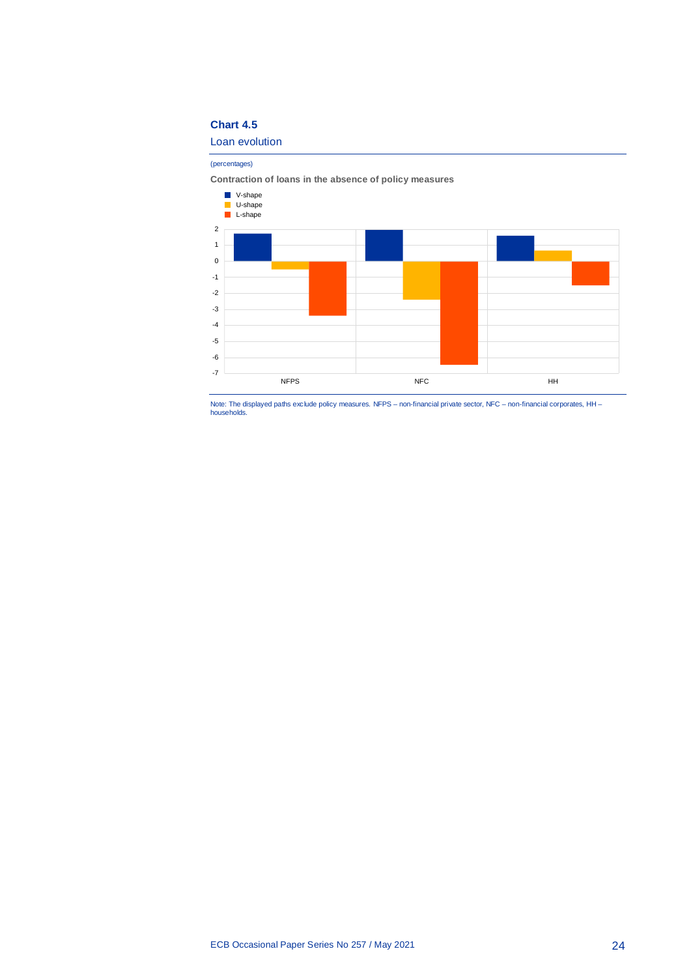## **Chart 4.5**

Loan evolution

(percentages)

**Contraction of loans in the absence of policy measures**



Note: The displayed paths exclude policy measures. NFPS – non-financial private sector, NFC – non-financial corporates, HH – households.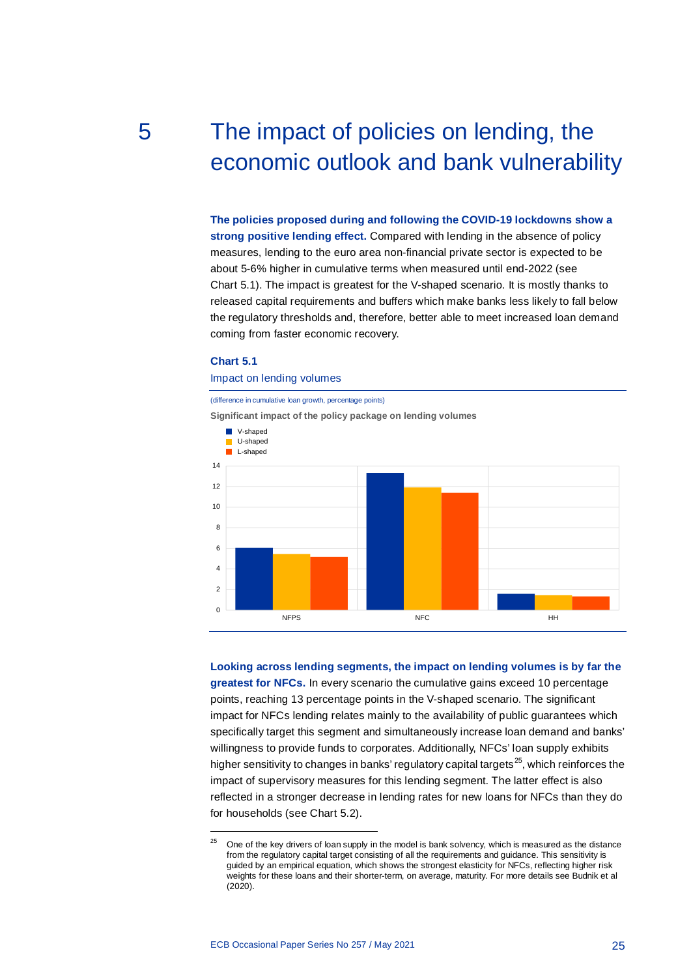# <span id="page-25-0"></span>5 The impact of policies on lending, the economic outlook and bank vulnerability

**The policies proposed during and following the COVID-19 lockdowns show a strong positive lending effect.** Compared with lending in the absence of policy measures, lending to the euro area non-financial private sector is expected to be about 5-6% higher in cumulative terms when measured until end-2022 (see Chart 5.1). The impact is greatest for the V-shaped scenario. It is mostly thanks to released capital requirements and buffers which make banks less likely to fall below the regulatory thresholds and, therefore, better able to meet increased loan demand coming from faster economic recovery.

#### **Chart 5.1**

1

#### Impact on lending volumes

# (difference in cumulative loan growth, percentage points) **Significant impact of the policy package on lending volumes**  $\Omega$ 2 4 6 8 10 12 14 NFPS NFC HH **N** V-shaped U-shaped L-shaped

**Looking across lending segments, the impact on lending volumes is by far the greatest for NFCs.** In every scenario the cumulative gains exceed 10 percentage points, reaching 13 percentage points in the V-shaped scenario. The significant impact for NFCs lending relates mainly to the availability of public guarantees which specifically target this segment and simultaneously increase loan demand and banks' willingness to provide funds to corporates. Additionally, NFCs' loan supply exhibits higher sensitivity to changes in banks' regulatory capital targets<sup>[25](#page-25-1)</sup>, which reinforces the impact of supervisory measures for this lending segment. The latter effect is also reflected in a stronger decrease in lending rates for new loans for NFCs than they do for households (see Chart 5.2).

<span id="page-25-1"></span> $25$  One of the key drivers of loan supply in the model is bank solvency, which is measured as the distance from the regulatory capital target consisting of all the requirements and guidance. This sensitivity is guided by an empirical equation, which shows the strongest elasticity for NFCs, reflecting higher risk weights for these loans and their shorter-term, on average, maturity. For more details see Budnik et al (2020).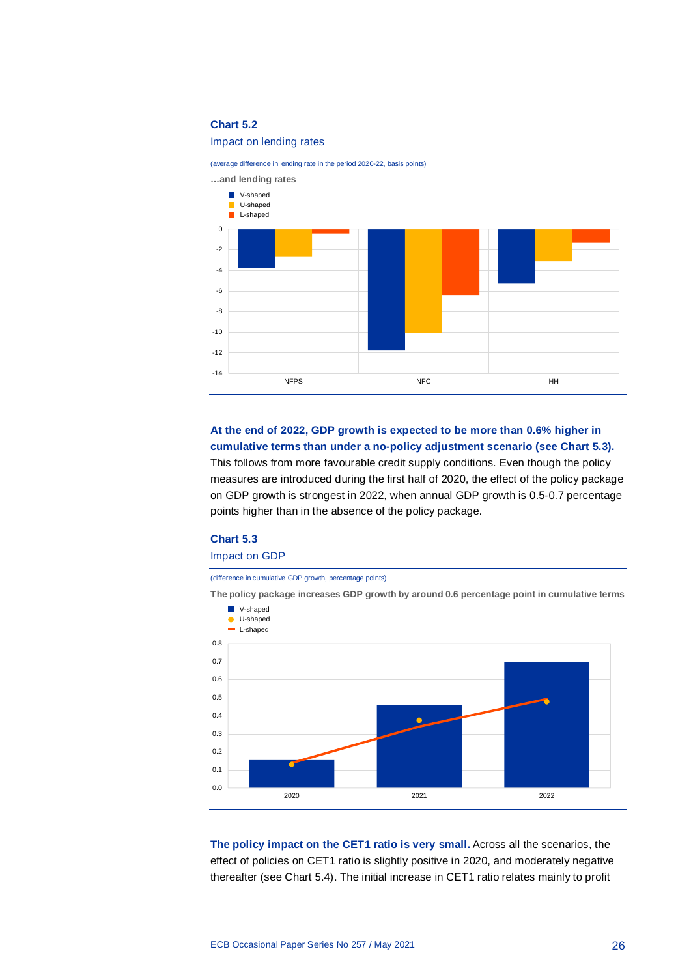## **Chart 5.2**

#### Impact on lending rates

(average difference in lending rate in the period 2020-22, basis points) **…and lending rates** -14 -12 -10 -8 -6 -4 -2 0 NFPS HH **V**-shaped U-shaped L-shaped

**At the end of 2022, GDP growth is expected to be more than 0.6% higher in cumulative terms than under a no-policy adjustment scenario (see Chart 5.3).** This follows from more favourable credit supply conditions. Even though the policy measures are introduced during the first half of 2020, the effect of the policy package on GDP growth is strongest in 2022, when annual GDP growth is 0.5-0.7 percentage points higher than in the absence of the policy package.

# **Chart 5.3**

## Impact on GDP

(difference in cumulative GDP growth, percentage points)



**The policy package increases GDP growth by around 0.6 percentage point in cumulative terms**

**The policy impact on the CET1 ratio is very small.** Across all the scenarios, the effect of policies on CET1 ratio is slightly positive in 2020, and moderately negative thereafter (see Chart 5.4). The initial increase in CET1 ratio relates mainly to profit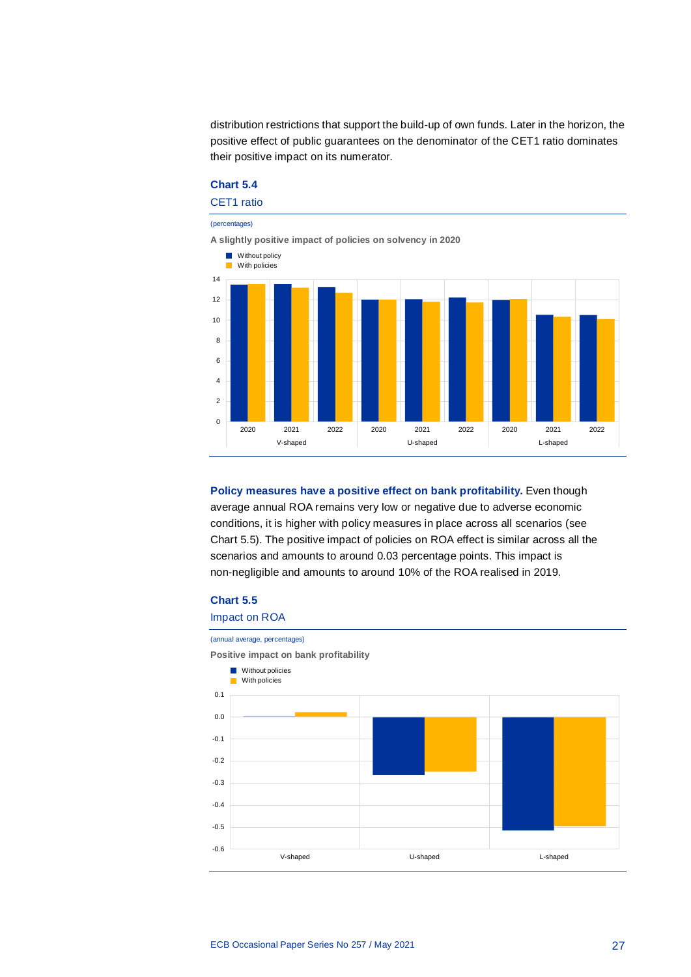distribution restrictions that support the build-up of own funds. Later in the horizon, the positive effect of public guarantees on the denominator of the CET1 ratio dominates their positive impact on its numerator.

## **Chart 5.4** CET1 ratio

(percentages)

**A slightly positive impact of policies on solvency in 2020 Without policy** 



**Policy measures have a positive effect on bank profitability.** Even though average annual ROA remains very low or negative due to adverse economic conditions, it is higher with policy measures in place across all scenarios (see Chart 5.5). The positive impact of policies on ROA effect is similar across all the scenarios and amounts to around 0.03 percentage points. This impact is non-negligible and amounts to around 10% of the ROA realised in 2019.

## **Chart 5.5**

# Impact on ROA (annual average, percentages)

**Positive impact on bank profitability** -0.6 -0.5 -0.4 -0.3  $-0.2$ -0.1 0.0  $0.1$ V-shaped U-shaped L-shaped **Without policies** With policies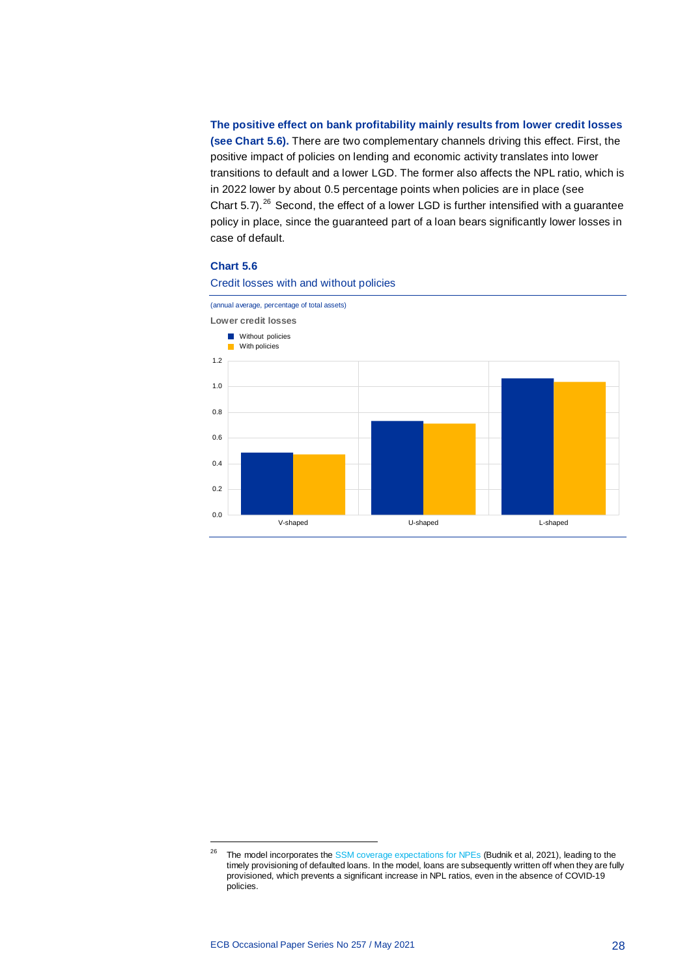**The positive effect on bank profitability mainly results from lower credit losses (see Chart 5.6).** There are two complementary channels driving this effect. First, the positive impact of policies on lending and economic activity translates into lower transitions to default and a lower LGD. The former also affects the NPL ratio, which is in 2022 lower by about 0.5 percentage points when policies are in place (see Chart  $5.7$ ).<sup>[26](#page-28-0)</sup> Second, the effect of a lower LGD is further intensified with a guarantee policy in place, since the guaranteed part of a loan bears significantly lower losses in case of default.

#### **Chart 5.6**



Credit losses with and without policies

1

<span id="page-28-0"></span><sup>&</sup>lt;sup>26</sup> The model incorporates the [SSM coverage expectations for NPEs](https://www.bankingsupervision.europa.eu/press/letterstobanks/shared/pdf/2019/ssm.supervisory_coverage_expectations_for_NPEs_201908.en.pdf) (Budnik et al, 2021), leading to the timely provisioning of defaulted loans. In the model, loans are subsequently written off when they are fully provisioned, which prevents a significant increase in NPL ratios, even in the absence of COVID-19 policies.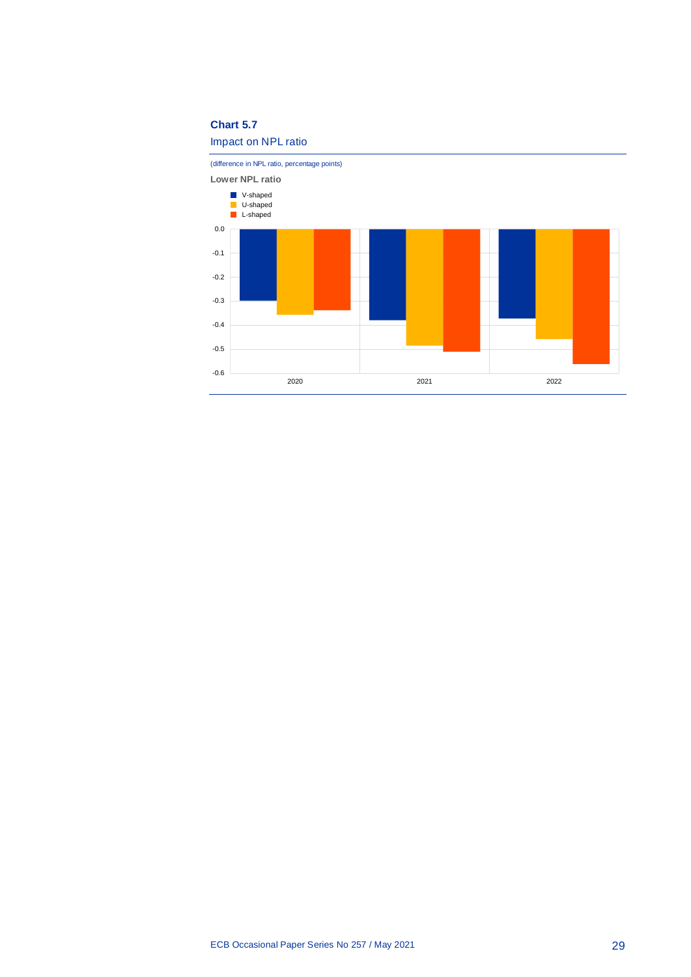## **Chart 5.7**



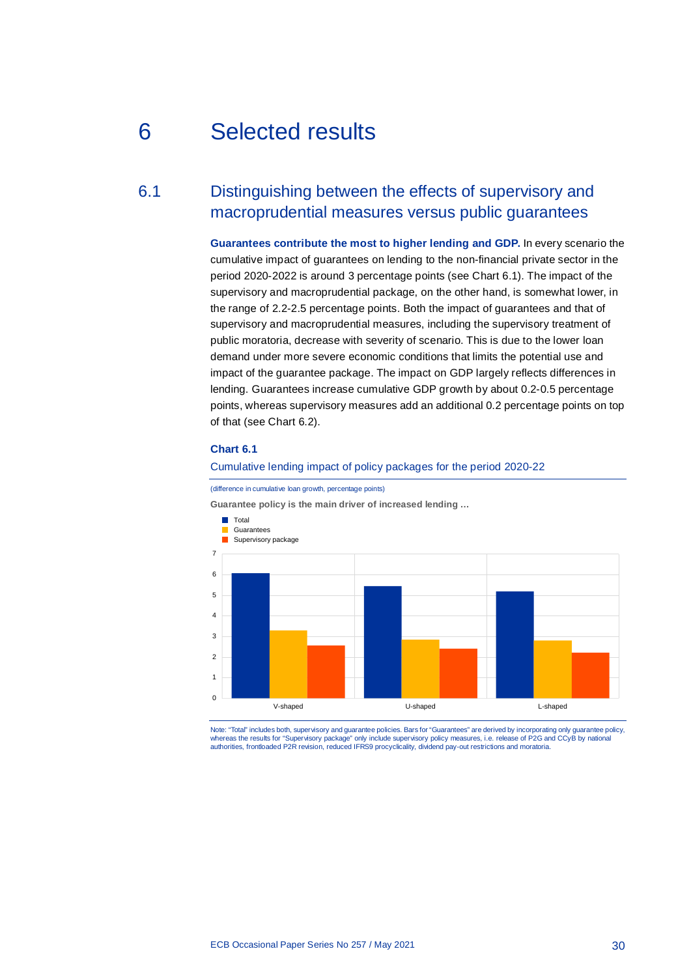# <span id="page-30-0"></span>6 Selected results

# 6.1 Distinguishing between the effects of supervisory and macroprudential measures versus public guarantees

<span id="page-30-1"></span>**Guarantees contribute the most to higher lending and GDP.** In every scenario the cumulative impact of guarantees on lending to the non-financial private sector in the period 2020-2022 is around 3 percentage points (see Chart 6.1). The impact of the supervisory and macroprudential package, on the other hand, is somewhat lower, in the range of 2.2-2.5 percentage points. Both the impact of guarantees and that of supervisory and macroprudential measures, including the supervisory treatment of public moratoria, decrease with severity of scenario. This is due to the lower loan demand under more severe economic conditions that limits the potential use and impact of the guarantee package. The impact on GDP largely reflects differences in lending. Guarantees increase cumulative GDP growth by about 0.2-0.5 percentage points, whereas supervisory measures add an additional 0.2 percentage points on top of that (see Chart 6.2).

#### **Chart 6.1**

#### Cumulative lending impact of policy packages for the period 2020-22



(difference in cumulative loan growth, percentage points)

Note: "Total" includes both, supervisory and guarantee policies. Bars for "Guarantees" are derived by incorporating only guarantee policy, whereas the results for "Supervisory package" only include supervisory policy measures, i.e. release of P2G and CCyB by national<br>authorities, frontloaded P2R revision, reduced IFRS9 procyclicality, dividend pay-out restric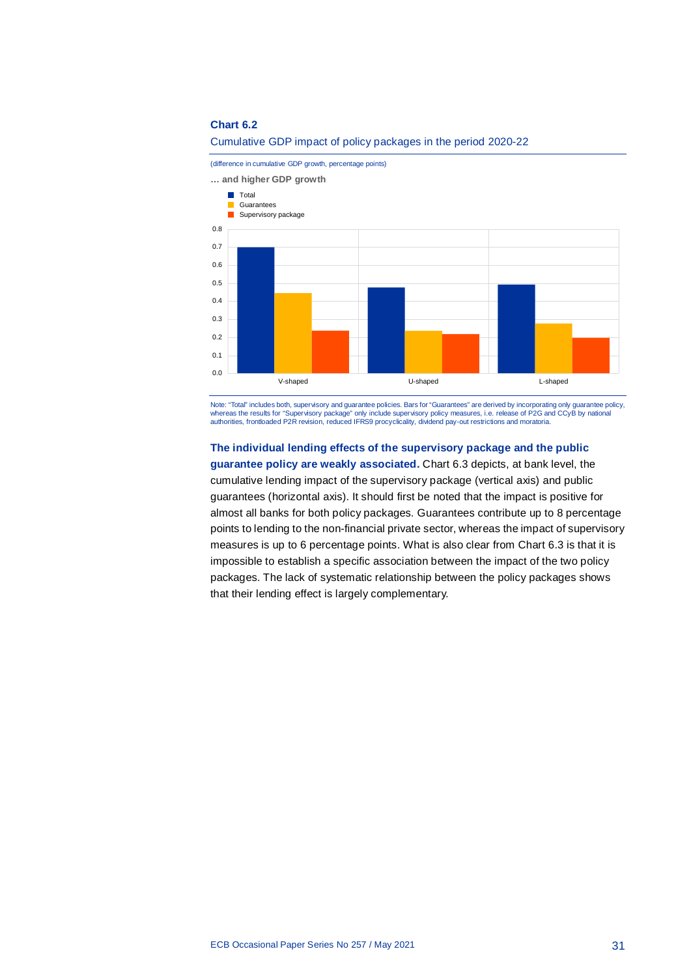

Cumulative GDP impact of policy packages in the period 2020-22

Note: "Total" includes both, supervisory and guarantee policies. Bars for "Guarantees" are derived by incorporating only guarantee policy,<br>whereas the results for "Supervisory package" only include supervisory policy measu authorities, frontloaded P2R revision, reduced IFRS9 procyclicality, dividend pay-out restrictions and moratoria.

# **The individual lending effects of the supervisory package and the public**

**guarantee policy are weakly associated.** Chart 6.3 depicts, at bank level, the cumulative lending impact of the supervisory package (vertical axis) and public guarantees (horizontal axis). It should first be noted that the impact is positive for almost all banks for both policy packages. Guarantees contribute up to 8 percentage points to lending to the non-financial private sector, whereas the impact of supervisory measures is up to 6 percentage points. What is also clear from Chart 6.3 is that it is impossible to establish a specific association between the impact of the two policy packages. The lack of systematic relationship between the policy packages shows that their lending effect is largely complementary.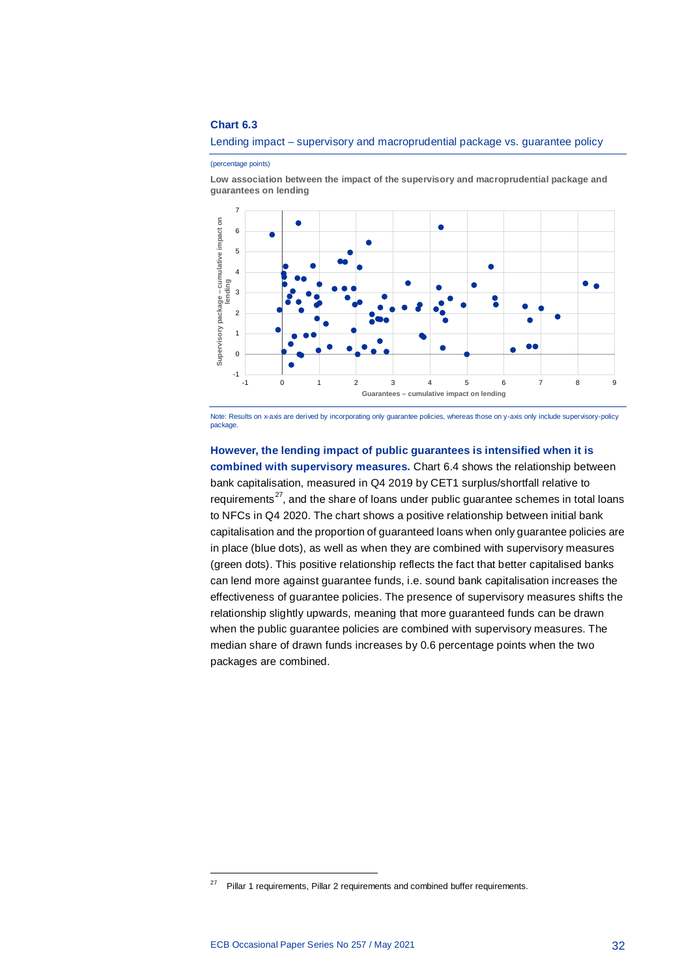Lending impact – supervisory and macroprudential package vs. guarantee policy

#### (percentage points)

**Low association between the impact of the supervisory and macroprudential package and guarantees on lending**



Note: Results on x-axis are derived by incorporating only guarantee policies, whereas those on y-axis only include supervisory-policy package.

## **However, the lending impact of public guarantees is intensified when it is**

**combined with supervisory measures.** Chart 6.4 shows the relationship between bank capitalisation, measured in Q4 2019 by CET1 surplus/shortfall relative to requirements $^{27}$ , and the share of loans under public guarantee schemes in total loans to NFCs in Q4 2020. The chart shows a positive relationship between initial bank capitalisation and the proportion of guaranteed loans when only guarantee policies are in place (blue dots), as well as when they are combined with supervisory measures (green dots). This positive relationship reflects the fact that better capitalised banks can lend more against guarantee funds, i.e. sound bank capitalisation increases the effectiveness of guarantee policies. The presence of supervisory measures shifts the relationship slightly upwards, meaning that more guaranteed funds can be drawn when the public guarantee policies are combined with supervisory measures. The median share of drawn funds increases by 0.6 percentage points when the two packages are combined.

1

<span id="page-32-0"></span> $27$  Pillar 1 requirements, Pillar 2 requirements and combined buffer requirements.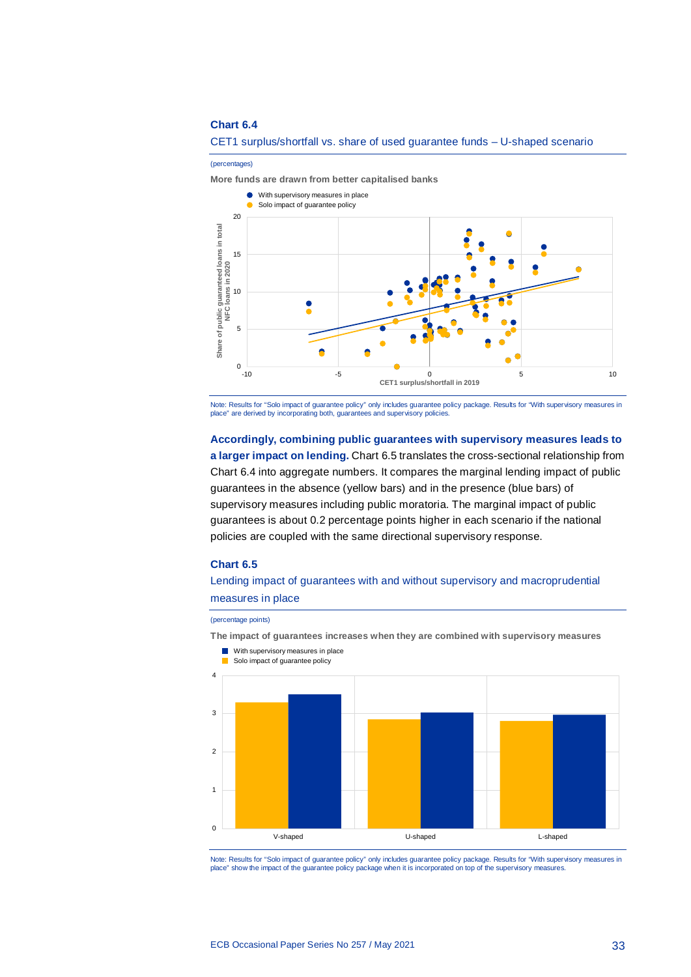

#### CET1 surplus/shortfall vs. share of used guarantee funds – U-shaped scenario

Note: Results for "Solo impact of guarantee policy" only includes guarantee policy package. Results for "With supervisory measures in<br>place" are derived by incorporating both, guarantees and supervisory policies.

**Accordingly, combining public guarantees with supervisory measures leads to a larger impact on lending.** Chart 6.5 translates the cross-sectional relationship from Chart 6.4 into aggregate numbers. It compares the marginal lending impact of public guarantees in the absence (yellow bars) and in the presence (blue bars) of supervisory measures including public moratoria. The marginal impact of public guarantees is about 0.2 percentage points higher in each scenario if the national policies are coupled with the same directional supervisory response.

#### **Chart 6.5**

Lending impact of guarantees with and without supervisory and macroprudential measures in place

#### (percentage points)

**The impact of guarantees increases when they are combined with supervisory measures**



Note: Results for "Solo impact of guarantee policy" only includes guarantee policy package. Results for "With supervisory measures in place" show the impact of the guarantee policy package when it is incorporated on top of the supervisory measures.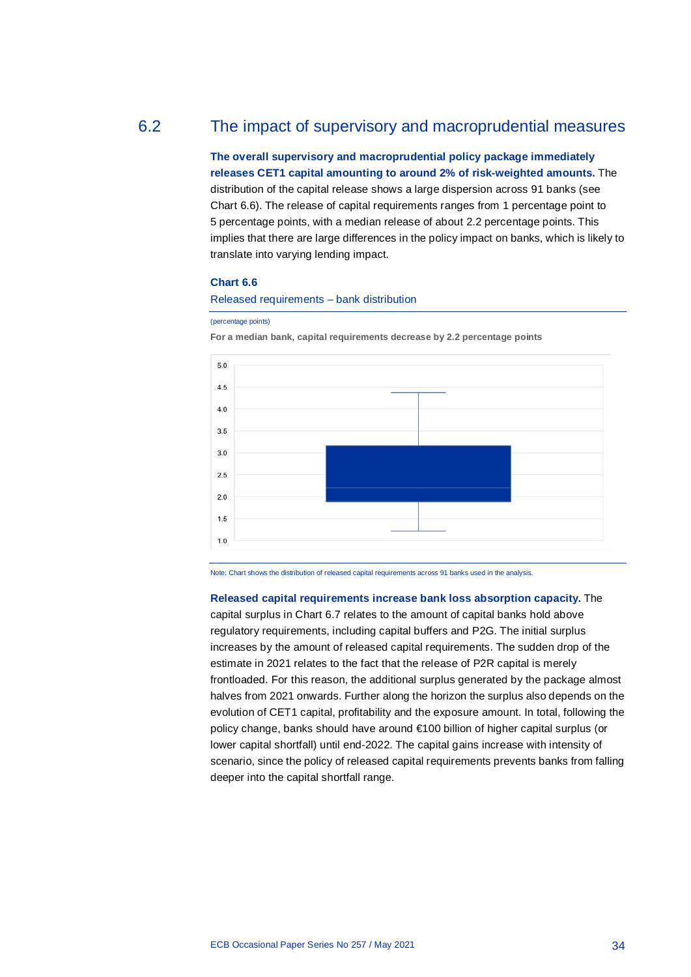# 6.2 The impact of supervisory and macroprudential measures

<span id="page-34-0"></span>**The overall supervisory and macroprudential policy package immediately releases CET1 capital amounting to around 2% of risk-weighted amounts.** The distribution of the capital release shows a large dispersion across 91 banks (see Chart 6.6). The release of capital requirements ranges from 1 percentage point to 5 percentage points, with a median release of about 2.2 percentage points. This implies that there are large differences in the policy impact on banks, which is likely to translate into varying lending impact.

## **Chart 6.6**

Released requirements – bank distribution

#### (percentage points)

**For a median bank, capital requirements decrease by 2.2 percentage points**



Note: Chart shows the distribution of released capital requirements across 91 banks used in the analysis.

**Released capital requirements increase bank loss absorption capacity.** The capital surplus in Chart 6.7 relates to the amount of capital banks hold above regulatory requirements, including capital buffers and P2G. The initial surplus increases by the amount of released capital requirements. The sudden drop of the estimate in 2021 relates to the fact that the release of P2R capital is merely frontloaded. For this reason, the additional surplus generated by the package almost halves from 2021 onwards. Further along the horizon the surplus also depends on the evolution of CET1 capital, profitability and the exposure amount. In total, following the policy change, banks should have around €100 billion of higher capital surplus (or lower capital shortfall) until end-2022. The capital gains increase with intensity of scenario, since the policy of released capital requirements prevents banks from falling deeper into the capital shortfall range.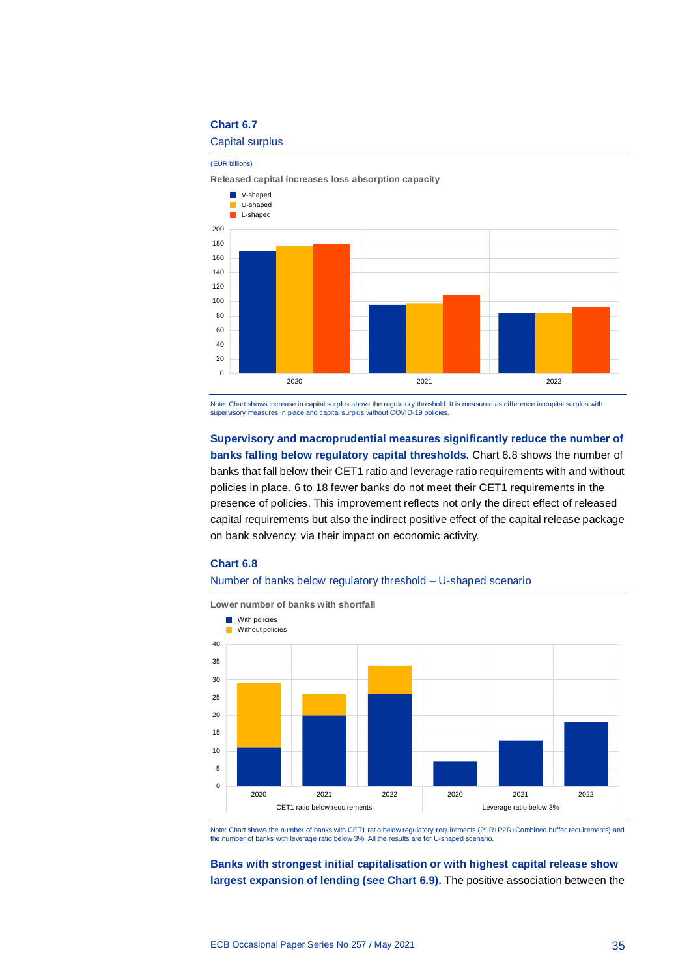Capital surplus

(EUR billions)

**Released capital increases loss absorption capacity**



Note: Chart shows increase in capital surplus above the regulatory threshold. It is measured as difference in capital surplus with supervisory measures in place and capital surplus without COVID-19 policies.

**Supervisory and macroprudential measures significantly reduce the number of banks falling below regulatory capital thresholds.** Chart 6.8 shows the number of banks that fall below their CET1 ratio and leverage ratio requirements with and without policies in place. 6 to 18 fewer banks do not meet their CET1 requirements in the presence of policies. This improvement reflects not only the direct effect of released capital requirements but also the indirect positive effect of the capital release package on bank solvency, via their impact on economic activity.

#### **Chart 6.8**

#### Number of banks below regulatory threshold – U-shaped scenario



Note: Chart shows the number of banks with CET1 ratio below regulatory requirements (P1R+P2R+Combined buffer requirements) and the number of banks with leverage ratio below 3%. All the results are for U-shaped scenario.

**Banks with strongest initial capitalisation or with highest capital release show largest expansion of lending (see Chart 6.9).** The positive association between the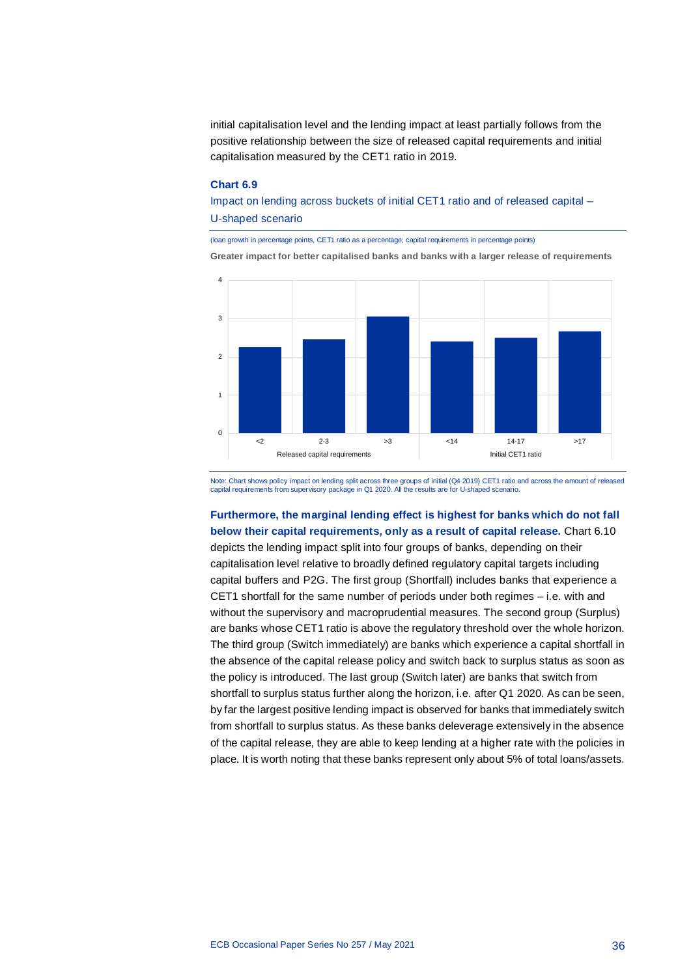initial capitalisation level and the lending impact at least partially follows from the positive relationship between the size of released capital requirements and initial capitalisation measured by the CET1 ratio in 2019.

#### **Chart 6.9**

Impact on lending across buckets of initial CET1 ratio and of released capital – U-shaped scenario

(loan growth in percentage points, CET1 ratio as a percentage; capital requirements in percentage points) **Greater impact for better capitalised banks and banks with a larger release of requirements**



Note: Chart shows policy impact on lending split across three groups of initial (Q4 2019) CET1 ratio and across the amount of released capital requirements from supervisory package in Q1 2020. All the results are for U-shaped scenario.

**Furthermore, the marginal lending effect is highest for banks which do not fall below their capital requirements, only as a result of capital release.** Chart 6.10 depicts the lending impact split into four groups of banks, depending on their capitalisation level relative to broadly defined regulatory capital targets including capital buffers and P2G. The first group (Shortfall) includes banks that experience a CET1 shortfall for the same number of periods under both regimes – i.e. with and without the supervisory and macroprudential measures. The second group (Surplus) are banks whose CET1 ratio is above the regulatory threshold over the whole horizon. The third group (Switch immediately) are banks which experience a capital shortfall in the absence of the capital release policy and switch back to surplus status as soon as the policy is introduced. The last group (Switch later) are banks that switch from shortfall to surplus status further along the horizon, i.e. after Q1 2020. As can be seen, by far the largest positive lending impact is observed for banks that immediately switch from shortfall to surplus status. As these banks deleverage extensively in the absence of the capital release, they are able to keep lending at a higher rate with the policies in place. It is worth noting that these banks represent only about 5% of total loans/assets.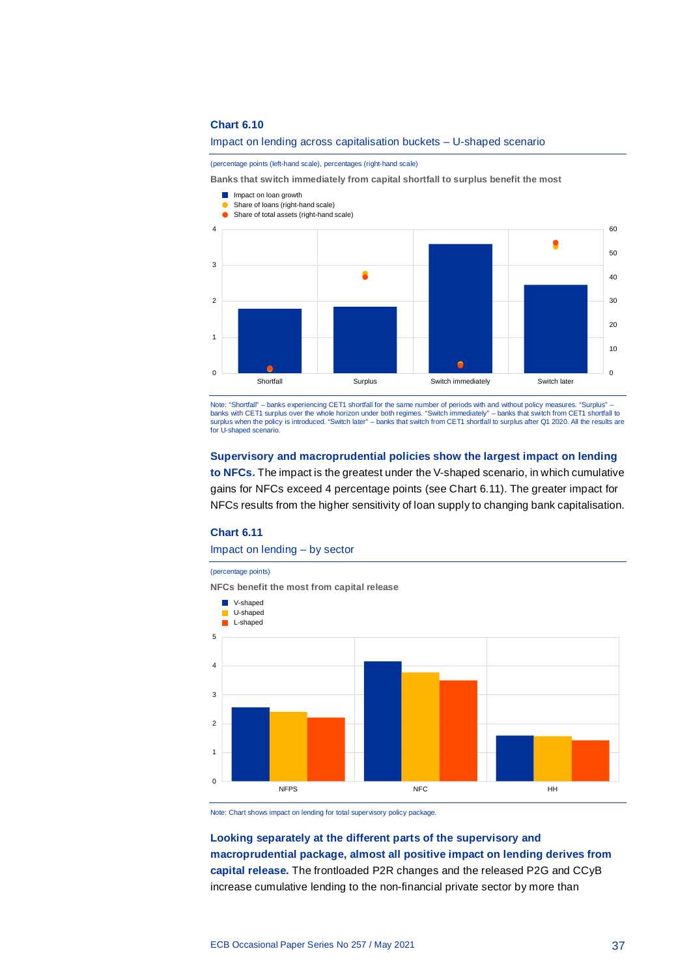#### Impact on lending across capitalisation buckets – U-shaped scenario

(percentage points (left-hand scale), percentages (right-hand scale)

**Banks that switch immediately from capital shortfall to surplus benefit the most**

- **Impact on loan growth**
- Share of loans (right-hand scale)



Note: "Shortfall" – banks experiencing CET1 shortfall for the same number of periods with and without policy measures. "Surplus" –<br>banks with CET1 surplus over the whole horizon under both regimes. "Switch immediately" – b surplus when the policy is introduced. "Switch later" – banks that switch from CET1 shortfall to surplus after Q1 2020. All the results are for U-shaped scenario.

### **Supervisory and macroprudential policies show the largest impact on lending**

**to NFCs.** The impact is the greatest under the V-shaped scenario, in which cumulative gains for NFCs exceed 4 percentage points (see Chart 6.11). The greater impact for NFCs results from the higher sensitivity of loan supply to changing bank capitalisation.

#### **Chart 6.11**

Impact on lending – by sector

#### (percentage points)

**NFCs benefit the most from capital release**



Note: Chart shows impact on lending for total supervisory policy package.

**Looking separately at the different parts of the supervisory and macroprudential package, almost all positive impact on lending derives from capital release.** The frontloaded P2R changes and the released P2G and CCyB increase cumulative lending to the non-financial private sector by more than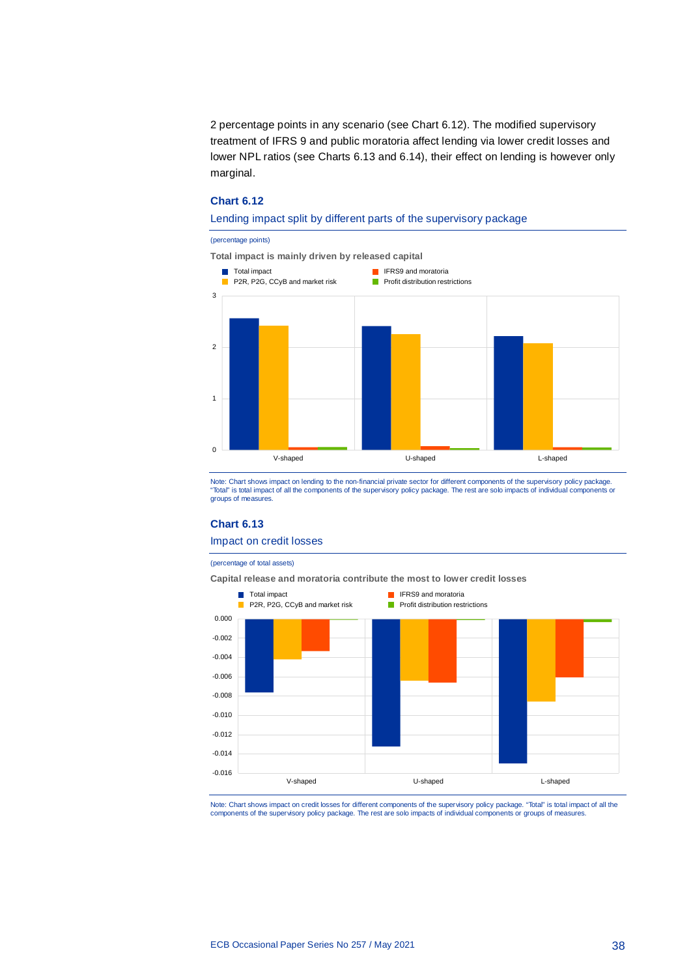2 percentage points in any scenario (see Chart 6.12). The modified supervisory treatment of IFRS 9 and public moratoria affect lending via lower credit losses and lower NPL ratios (see Charts 6.13 and 6.14), their effect on lending is however only marginal.

## **Chart 6.12**

#### Lending impact split by different parts of the supervisory package

#### (percentage points)



Note: Chart shows impact on lending to the non-financial private sector for different components of the supervisory policy package. "Total" is total impact of all the components of the supervisory policy package. The rest are solo impacts of individual components or groups of measures.

#### **Chart 6.13**

### Impact on credit losses

(percentage of total assets)

**Capital release and moratoria contribute the most to lower credit losses**



Note: Chart shows impact on credit losses for different components of the supervisory policy package. "Total" is total impact of all the components of the supervisory policy package. The rest are solo impacts of individual components or groups of measures.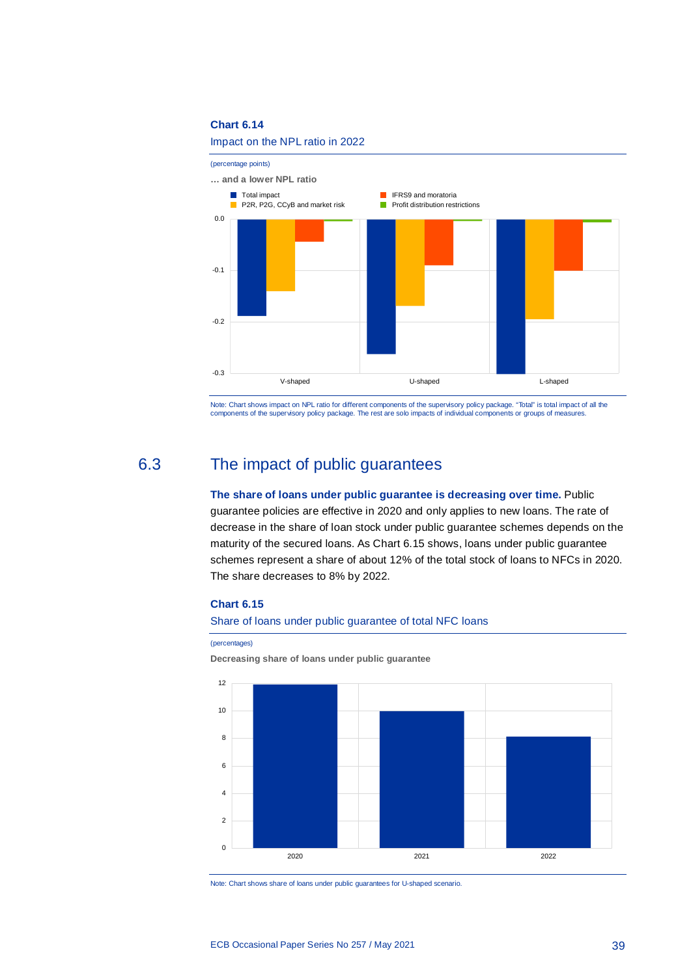



<span id="page-39-0"></span>Note: Chart shows impact on NPL ratio for different components of the supervisory policy package. "Total" is total impact of all the<br>components of the supervisory policy package. The rest are solo impacts of individual com

# 6.3 The impact of public guarantees

# **The share of loans under public guarantee is decreasing over time.** Public guarantee policies are effective in 2020 and only applies to new loans. The rate of decrease in the share of loan stock under public guarantee schemes depends on the maturity of the secured loans. As Chart 6.15 shows, loans under public guarantee schemes represent a share of about 12% of the total stock of loans to NFCs in 2020. The share decreases to 8% by 2022.

### **Chart 6.15**

#### Share of loans under public guarantee of total NFC loans

#### (percentages)

**Decreasing share of loans under public guarantee**



Note: Chart shows share of loans under public guarantees for U-shaped scenario.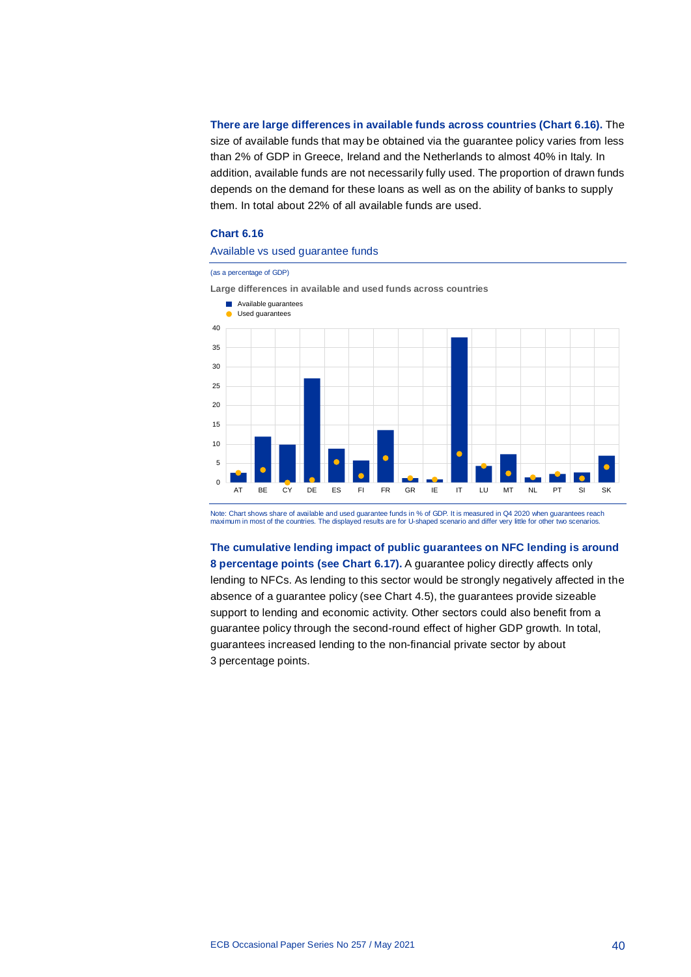**There are large differences in available funds across countries (Chart 6.16).** The size of available funds that may be obtained via the guarantee policy varies from less than 2% of GDP in Greece, Ireland and the Netherlands to almost 40% in Italy. In addition, available funds are not necessarily fully used. The proportion of drawn funds depends on the demand for these loans as well as on the ability of banks to supply them. In total about 22% of all available funds are used.

### **Chart 6.16**

### Available vs used guarantee funds

#### (as a percentage of GDP)

**Large differences in available and used funds across countries**



Note: Chart shows share of available and used guarantee funds in % of GDP. It is measured in Q4 2020 when guarantees reach maximum in most of the countries. The displayed results are for U-shaped scenario and differ very little for other two scenarios.

**The cumulative lending impact of public guarantees on NFC lending is around 8 percentage points (see Chart 6.17).** A guarantee policy directly affects only lending to NFCs. As lending to this sector would be strongly negatively affected in the absence of a guarantee policy (see Chart 4.5), the guarantees provide sizeable support to lending and economic activity. Other sectors could also benefit from a guarantee policy through the second-round effect of higher GDP growth. In total, guarantees increased lending to the non-financial private sector by about 3 percentage points.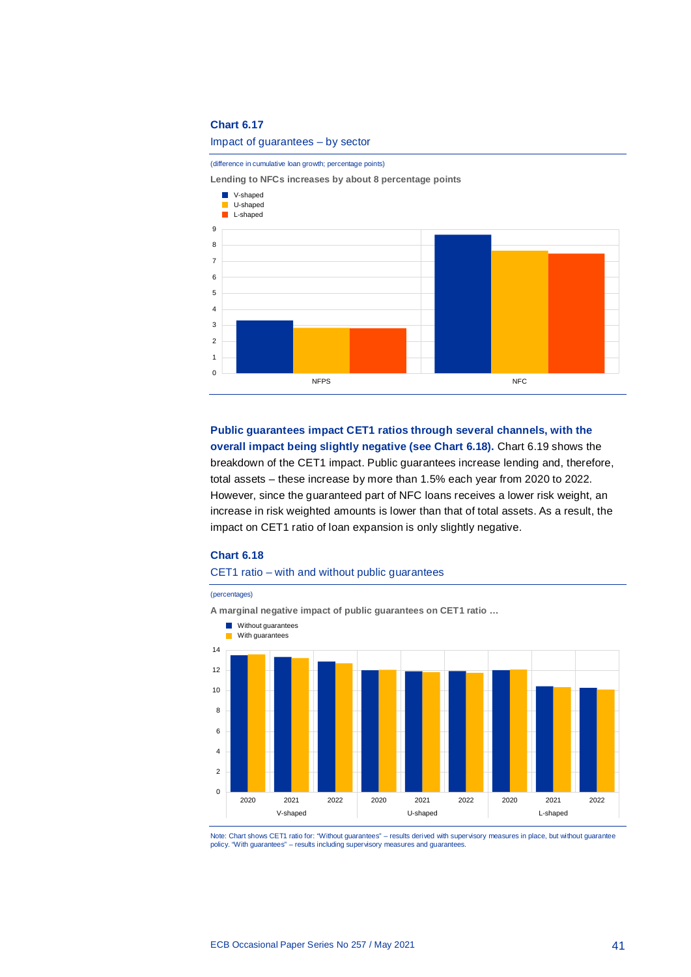#### Impact of guarantees – by sector

#### (difference in cumulative loan growth; percentage points)

**Lending to NFCs increases by about 8 percentage points**



**Public guarantees impact CET1 ratios through several channels, with the overall impact being slightly negative (see Chart 6.18).** Chart 6.19 shows the breakdown of the CET1 impact. Public guarantees increase lending and, therefore, total assets – these increase by more than 1.5% each year from 2020 to 2022. However, since the guaranteed part of NFC loans receives a lower risk weight, an increase in risk weighted amounts is lower than that of total assets. As a result, the impact on CET1 ratio of loan expansion is only slightly negative.

#### **Chart 6.18**

#### CET1 ratio – with and without public guarantees

(percentages) **A marginal negative impact of public guarantees on CET1 ratio …** 0 2 4 6 8 10 12 14 2020 2021 2022 2020 2021 2022 2020 2021 2022 V-shaped U-shaped L-shaped **Without guarantees With guarantees** 

Note: Chart shows CET1 ratio for: "Without guarantees" – results derived with supervisory measures in place, but without guarantee policy. "With guarantees" – results including supervisory measures and guarantee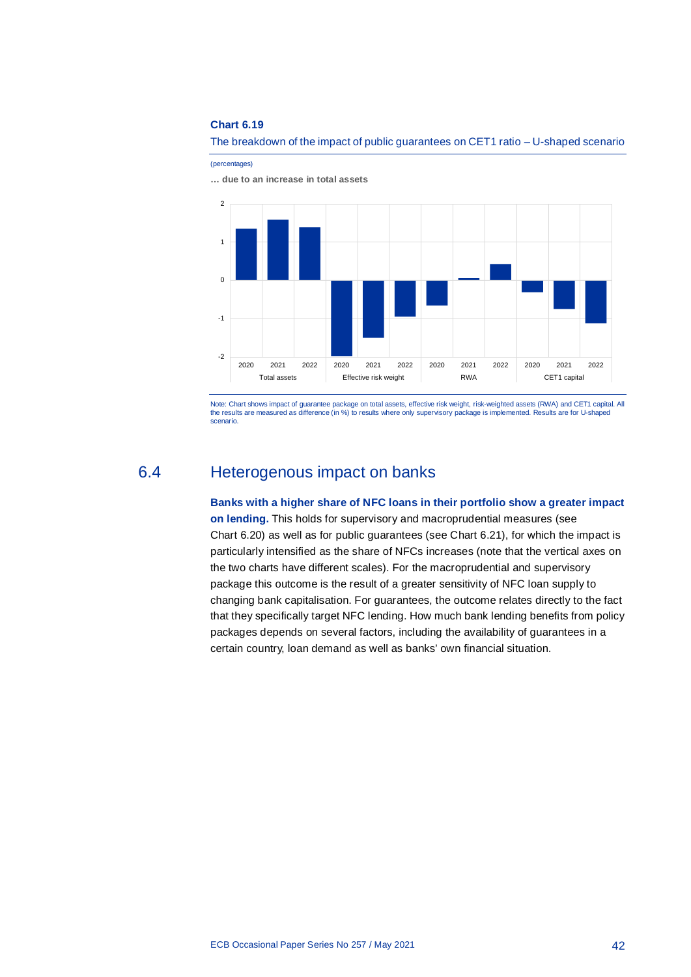

The breakdown of the impact of public guarantees on CET1 ratio – U-shaped scenario

(percentages)

**… due to an increase in total assets**

<span id="page-42-0"></span>Note: Chart shows impact of guarantee package on total assets, effective risk weight, risk-weighted assets (RWA) and CET1 capital. All the results are measured as difference (in %) to results where only supervisory package is implemented. Results are for U-shaped scenario.

# 6.4 Heterogenous impact on banks

**Banks with a higher share of NFC loans in their portfolio show a greater impact on lending.** This holds for supervisory and macroprudential measures (see Chart 6.20) as well as for public guarantees (see Chart 6.21), for which the impact is particularly intensified as the share of NFCs increases (note that the vertical axes on the two charts have different scales). For the macroprudential and supervisory package this outcome is the result of a greater sensitivity of NFC loan supply to changing bank capitalisation. For guarantees, the outcome relates directly to the fact that they specifically target NFC lending. How much bank lending benefits from policy packages depends on several factors, including the availability of guarantees in a certain country, loan demand as well as banks' own financial situation.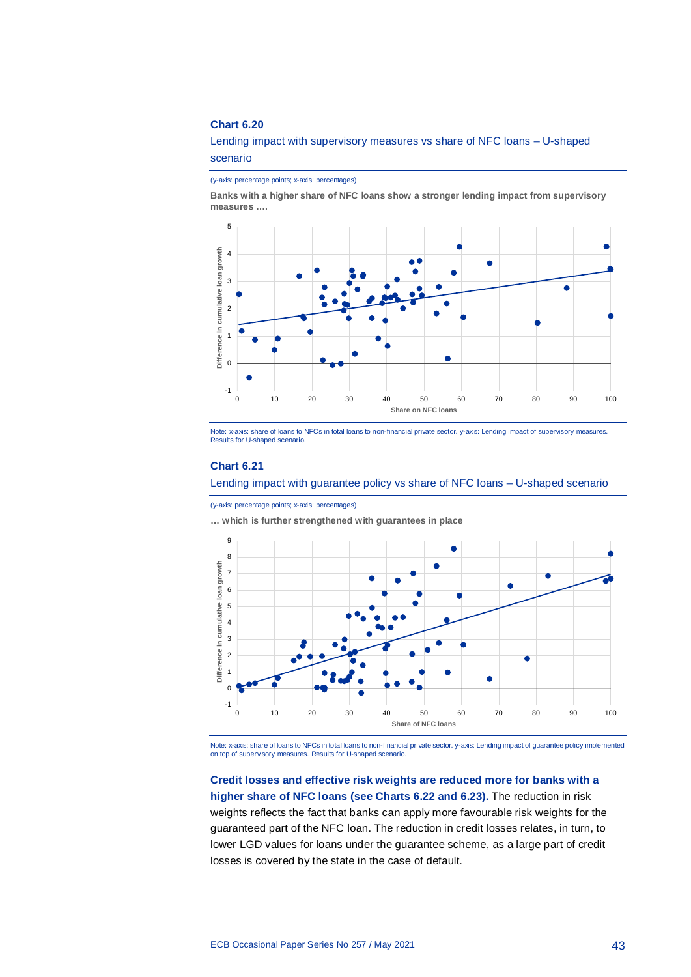## Lending impact with supervisory measures vs share of NFC loans – U-shaped scenario

(y-axis: percentage points; x-axis: percentages)

**Banks with a higher share of NFC loans show a stronger lending impact from supervisory measures ….**



Note: x-axis: share of loans to NFCs in total loans to non-financial private sector. y-axis: Lending impact of supervisory measures. Results for U-shaped scenario.

### **Chart 6.21**

Lending impact with guarantee policy vs share of NFC loans – U-shaped scenario

(y-axis: percentage points; x-axis: percentages)

**… which is further strengthened with guarantees in place**



Note: x-axis: share of loans to NFCs in total loans to non-financial private sector. y-axis: Lending impact of guarantee policy implemented<br>on top of supervisory measures. Results for U-shaped scenario.

# **Credit losses and effective risk weights are reduced more for banks with a higher share of NFC loans (see Charts 6.22 and 6.23).** The reduction in risk weights reflects the fact that banks can apply more favourable risk weights for the guaranteed part of the NFC loan. The reduction in credit losses relates, in turn, to lower LGD values for loans under the guarantee scheme, as a large part of credit losses is covered by the state in the case of default.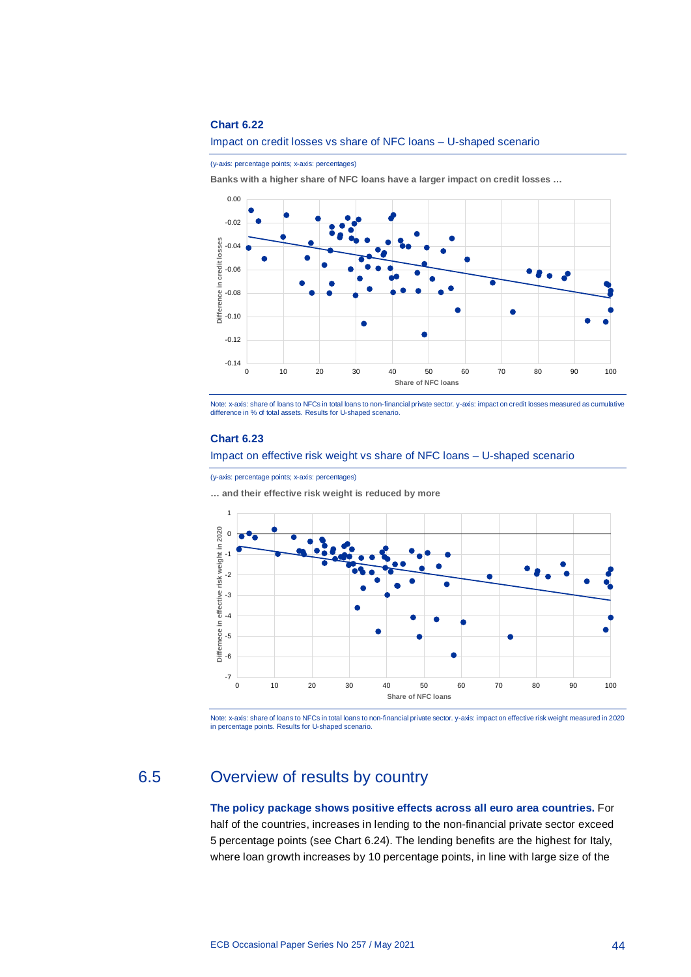#### Impact on credit losses vs share of NFC loans – U-shaped scenario

(y-axis: percentage points; x-axis: percentages)

**Banks with a higher share of NFC loans have a larger impact on credit losses …**



Note: x-axis: share of loans to NFCs in total loans to non-financial private sector. y-axis: impact on credit losses measured as cumulative difference in % of total assets. Results for U-shaped scenario.

#### **Chart 6.23**

#### Impact on effective risk weight vs share of NFC loans – U-shaped scenario

(y-axis: percentage points; x-axis: percentages)

**… and their effective risk weight is reduced by more**



<span id="page-44-0"></span>Note: x-axis: share of loans to NFCs in total loans to non-financial private sector. y-axis: impact on effective risk weight measured in 2020<br>in percentage points. Results for U-shaped scenario.

# 6.5 Overview of results by country

**The policy package shows positive effects across all euro area countries.** For half of the countries, increases in lending to the non-financial private sector exceed 5 percentage points (see Chart 6.24). The lending benefits are the highest for Italy, where loan growth increases by 10 percentage points, in line with large size of the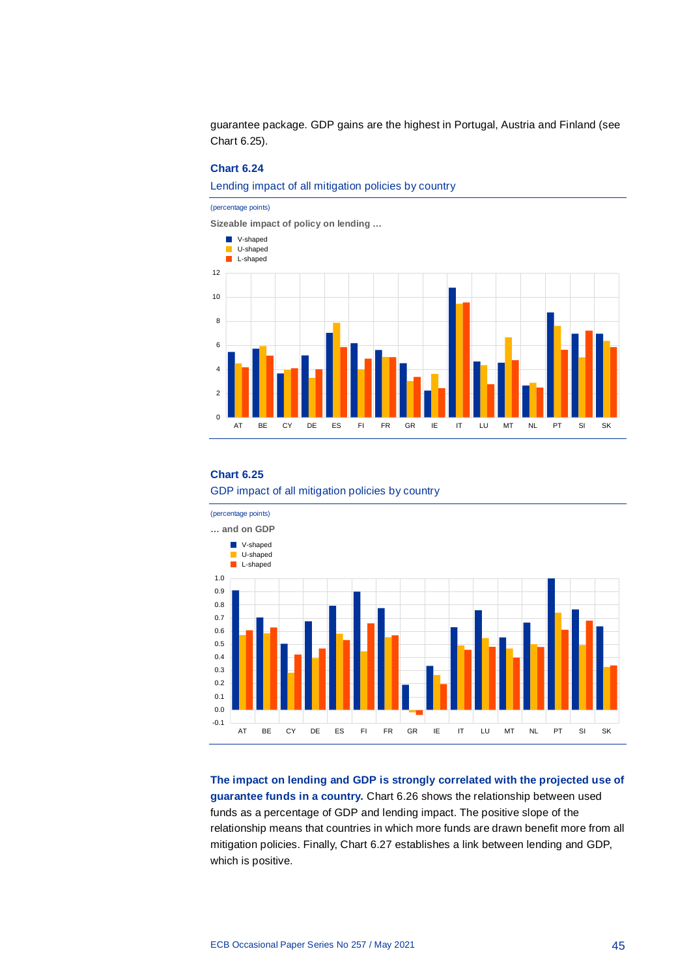guarantee package. GDP gains are the highest in Portugal, Austria and Finland (see Chart 6.25).

## **Chart 6.24**

Lending impact of all mitigation policies by country

#### (percentage points)

**Sizeable impact of policy on lending …**



#### **Chart 6.25**





**The impact on lending and GDP is strongly correlated with the projected use of guarantee funds in a country.** Chart 6.26 shows the relationship between used funds as a percentage of GDP and lending impact. The positive slope of the relationship means that countries in which more funds are drawn benefit more from all mitigation policies. Finally, Chart 6.27 establishes a link between lending and GDP, which is positive.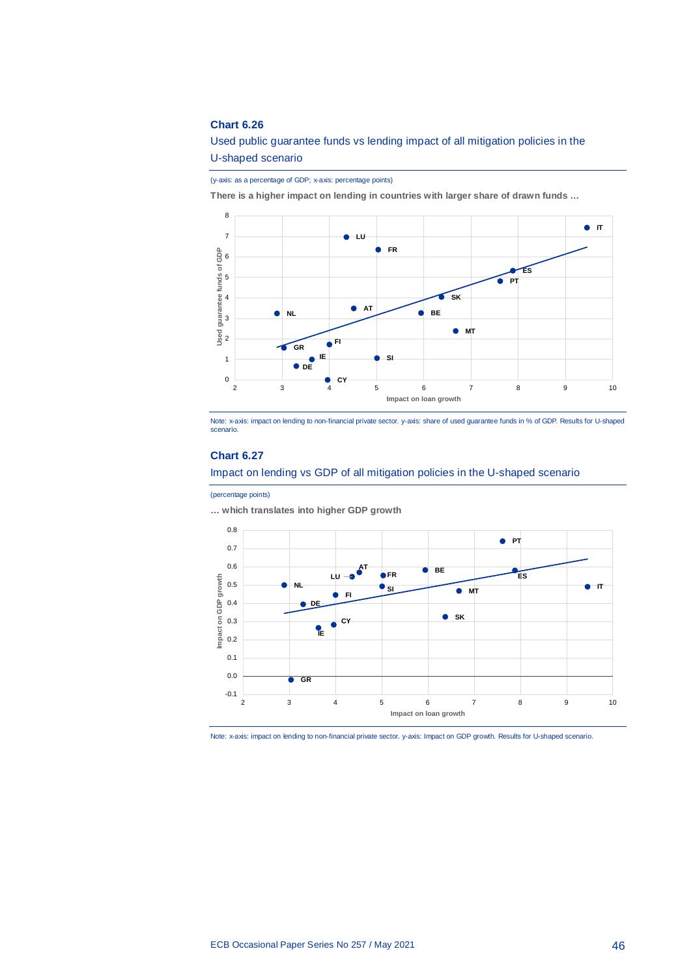Used public guarantee funds vs lending impact of all mitigation policies in the U-shaped scenario

(y-axis: as a percentage of GDP; x-axis: percentage points)

**There is a higher impact on lending in countries with larger share of drawn funds …**



Note: x-axis: impact on lending to non-financial private sector. y-axis: share of used guarantee funds in % of GDP. Results for U-shaped scenario.

## **Chart 6.27**



#### (percentage points)

**… which translates into higher GDP growth**



Note: x-axis: impact on lending to non-financial private sector. y-axis: Impact on GDP growth. Results for U-shaped scenario.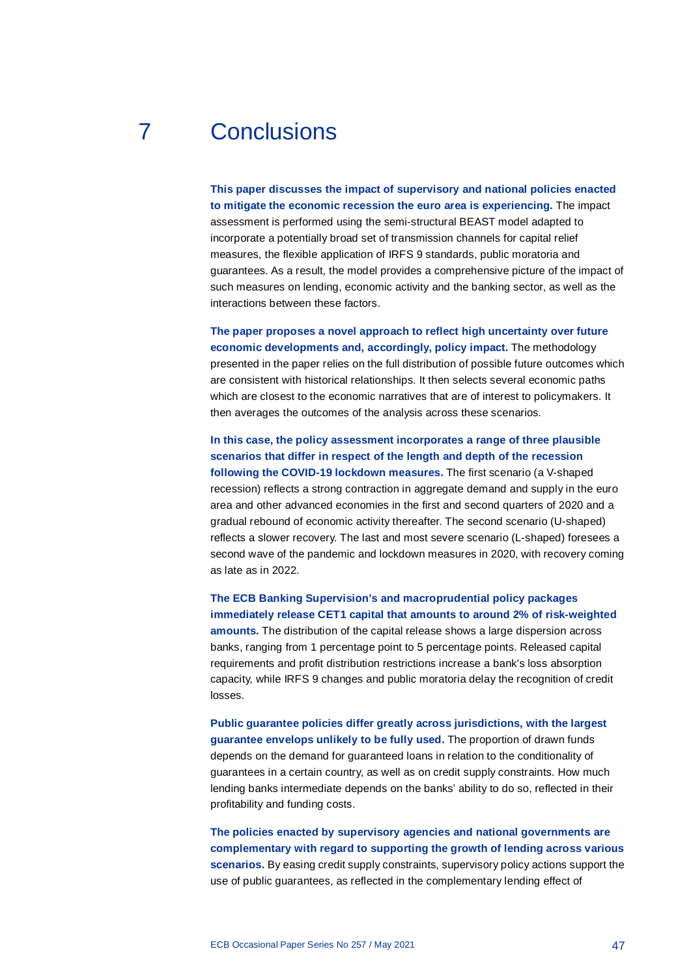# 7 Conclusions

<span id="page-47-0"></span>**This paper discusses the impact of supervisory and national policies enacted to mitigate the economic recession the euro area is experiencing.** The impact assessment is performed using the semi-structural BEAST model adapted to incorporate a potentially broad set of transmission channels for capital relief measures, the flexible application of IRFS 9 standards, public moratoria and guarantees. As a result, the model provides a comprehensive picture of the impact of such measures on lending, economic activity and the banking sector, as well as the interactions between these factors.

**The paper proposes a novel approach to reflect high uncertainty over future economic developments and, accordingly, policy impact.** The methodology presented in the paper relies on the full distribution of possible future outcomes which are consistent with historical relationships. It then selects several economic paths which are closest to the economic narratives that are of interest to policymakers. It then averages the outcomes of the analysis across these scenarios.

**In this case, the policy assessment incorporates a range of three plausible scenarios that differ in respect of the length and depth of the recession following the COVID-19 lockdown measures.** The first scenario (a V-shaped recession) reflects a strong contraction in aggregate demand and supply in the euro area and other advanced economies in the first and second quarters of 2020 and a gradual rebound of economic activity thereafter. The second scenario (U-shaped) reflects a slower recovery. The last and most severe scenario (L-shaped) foresees a second wave of the pandemic and lockdown measures in 2020, with recovery coming as late as in 2022.

**The ECB Banking Supervision's and macroprudential policy packages immediately release CET1 capital that amounts to around 2% of risk-weighted amounts.** The distribution of the capital release shows a large dispersion across banks, ranging from 1 percentage point to 5 percentage points. Released capital requirements and profit distribution restrictions increase a bank's loss absorption capacity, while IRFS 9 changes and public moratoria delay the recognition of credit losses.

**Public guarantee policies differ greatly across jurisdictions, with the largest guarantee envelops unlikely to be fully used.** The proportion of drawn funds depends on the demand for guaranteed loans in relation to the conditionality of guarantees in a certain country, as well as on credit supply constraints. How much lending banks intermediate depends on the banks' ability to do so, reflected in their profitability and funding costs.

**The policies enacted by supervisory agencies and national governments are complementary with regard to supporting the growth of lending across various scenarios.** By easing credit supply constraints, supervisory policy actions support the use of public guarantees, as reflected in the complementary lending effect of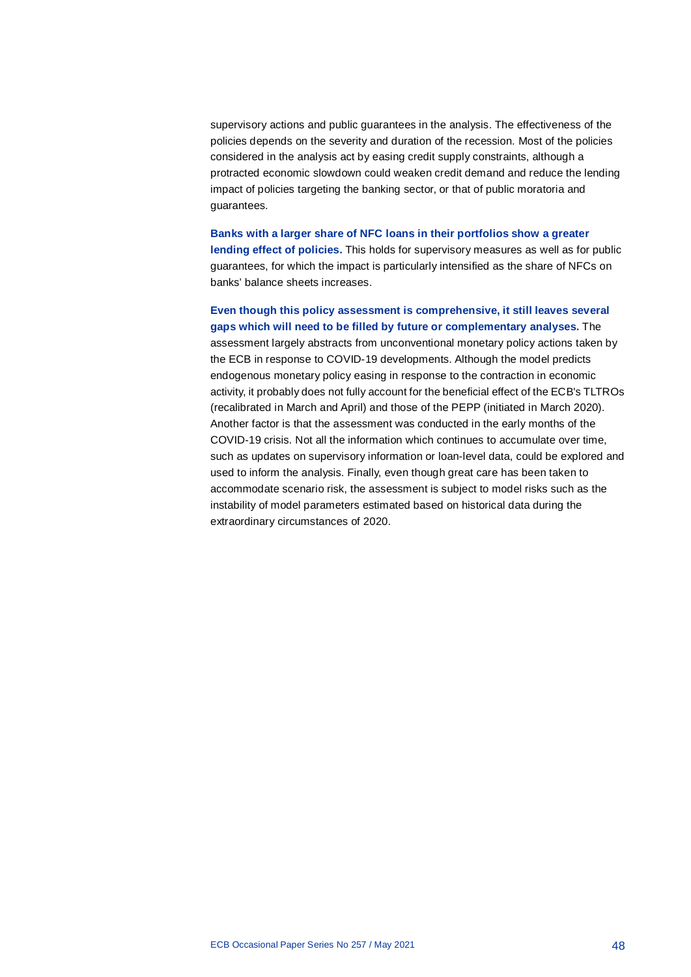supervisory actions and public guarantees in the analysis. The effectiveness of the policies depends on the severity and duration of the recession. Most of the policies considered in the analysis act by easing credit supply constraints, although a protracted economic slowdown could weaken credit demand and reduce the lending impact of policies targeting the banking sector, or that of public moratoria and guarantees.

**Banks with a larger share of NFC loans in their portfolios show a greater lending effect of policies.** This holds for supervisory measures as well as for public guarantees, for which the impact is particularly intensified as the share of NFCs on banks' balance sheets increases.

# **Even though this policy assessment is comprehensive, it still leaves several gaps which will need to be filled by future or complementary analyses.** The

assessment largely abstracts from unconventional monetary policy actions taken by the ECB in response to COVID-19 developments. Although the model predicts endogenous monetary policy easing in response to the contraction in economic activity, it probably does not fully account for the beneficial effect of the ECB's TLTROs (recalibrated in March and April) and those of the PEPP (initiated in March 2020). Another factor is that the assessment was conducted in the early months of the COVID-19 crisis. Not all the information which continues to accumulate over time, such as updates on supervisory information or loan-level data, could be explored and used to inform the analysis. Finally, even though great care has been taken to accommodate scenario risk, the assessment is subject to model risks such as the instability of model parameters estimated based on historical data during the extraordinary circumstances of 2020.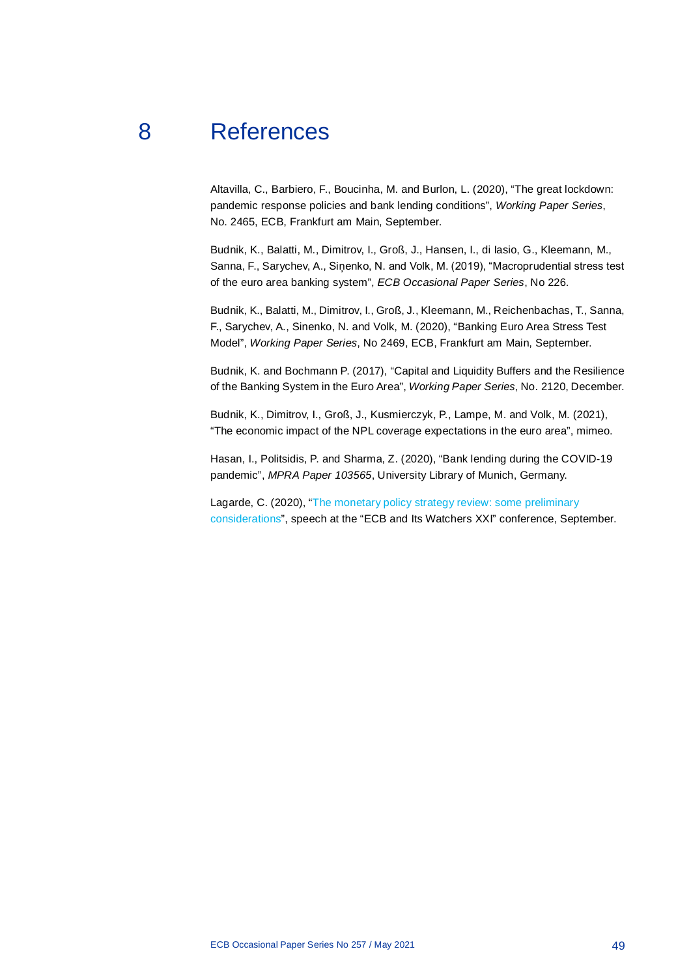# 8 References

<span id="page-49-0"></span>Altavilla, C., Barbiero, F., Boucinha, M. and Burlon, L. (2020), "The great lockdown: pandemic response policies and bank lending conditions", *Working Paper Series*, No. 2465, ECB, Frankfurt am Main, September.

Budnik, K., Balatti, M., Dimitrov, I., Groß, J., Hansen, I., di Iasio, G., Kleemann, M., Sanna, F., Sarychev, A., Siņenko, N. and Volk, M. (2019), "Macroprudential stress test of the euro area banking system", *ECB Occasional Paper Series*, No 226.

Budnik, K., Balatti, M., Dimitrov, I., Groß, J., Kleemann, M., Reichenbachas, T., Sanna, F., Sarychev, A., Sinenko, N. and Volk, M. (2020), "Banking Euro Area Stress Test Model", *Working Paper Series*, No 2469, ECB, Frankfurt am Main, September.

Budnik, K. and Bochmann P. (2017), "Capital and Liquidity Buffers and the Resilience of the Banking System in the Euro Area", *Working Paper Series*, No. 2120, December.

Budnik, K., Dimitrov, I., Groß, J., Kusmierczyk, P., Lampe, M. and Volk, M. (2021), "The economic impact of the NPL coverage expectations in the euro area", mimeo.

Hasan, I., Politsidis, P. and Sharma, Z. (2020), "Bank lending during the COVID-19 pandemic", *MPRA Paper 103565*, University Library of Munich, Germany.

Lagarde, C. (2020), ["The monetary policy strategy review: some preliminary](https://www.ecb.europa.eu/press/key/date/2020/html/ecb.sp200930%7E169abb1202.en.html)  [considerations"](https://www.ecb.europa.eu/press/key/date/2020/html/ecb.sp200930%7E169abb1202.en.html), speech at the "ECB and Its Watchers XXI" conference, September.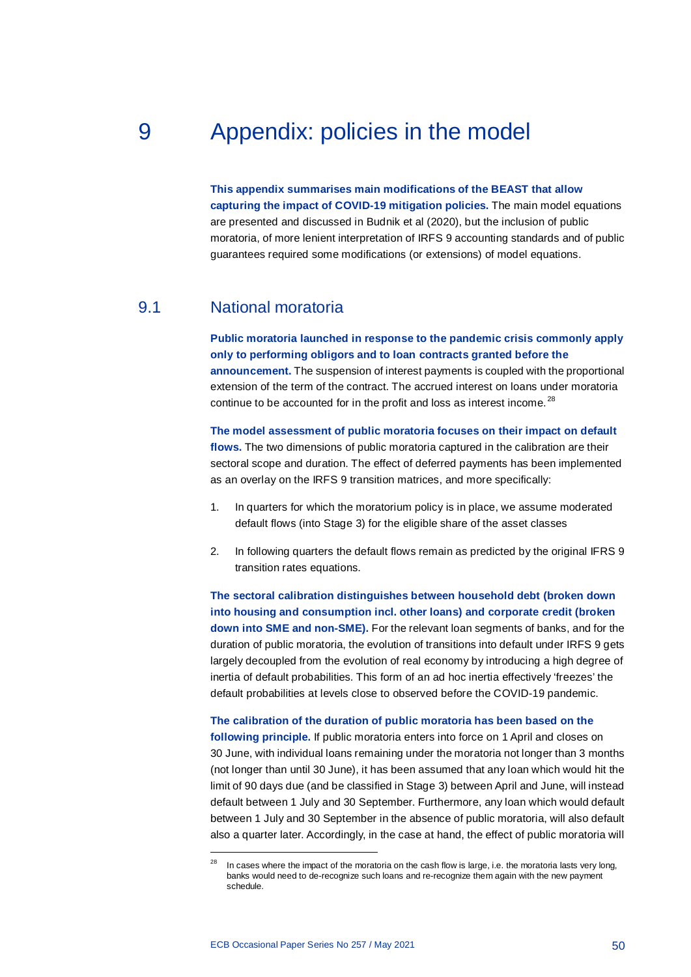# 9 Appendix: policies in the model

<span id="page-50-0"></span>**This appendix summarises main modifications of the BEAST that allow capturing the impact of COVID-19 mitigation policies.** The main model equations are presented and discussed in Budnik et al (2020), but the inclusion of public moratoria, of more lenient interpretation of IRFS 9 accounting standards and of public guarantees required some modifications (or extensions) of model equations.

# 9.1 National moratoria

<span id="page-50-1"></span>**Public moratoria launched in response to the pandemic crisis commonly apply only to performing obligors and to loan contracts granted before the announcement.** The suspension of interest payments is coupled with the proportional extension of the term of the contract. The accrued interest on loans under moratoria continue to be accounted for in the profit and loss as interest income.<sup>[28](#page-50-2)</sup>

**The model assessment of public moratoria focuses on their impact on default flows.** The two dimensions of public moratoria captured in the calibration are their sectoral scope and duration. The effect of deferred payments has been implemented as an overlay on the IRFS 9 transition matrices, and more specifically:

- 1. In quarters for which the moratorium policy is in place, we assume moderated default flows (into Stage 3) for the eligible share of the asset classes
- 2. In following quarters the default flows remain as predicted by the original IFRS 9 transition rates equations.

**The sectoral calibration distinguishes between household debt (broken down into housing and consumption incl. other loans) and corporate credit (broken down into SME and non-SME).** For the relevant loan segments of banks, and for the duration of public moratoria, the evolution of transitions into default under IRFS 9 gets largely decoupled from the evolution of real economy by introducing a high degree of inertia of default probabilities. This form of an ad hoc inertia effectively 'freezes' the default probabilities at levels close to observed before the COVID-19 pandemic.

# **The calibration of the duration of public moratoria has been based on the**

**following principle.** If public moratoria enters into force on 1 April and closes on 30 June, with individual loans remaining under the moratoria not longer than 3 months (not longer than until 30 June), it has been assumed that any loan which would hit the limit of 90 days due (and be classified in Stage 3) between April and June, will instead default between 1 July and 30 September. Furthermore, any loan which would default between 1 July and 30 September in the absence of public moratoria, will also default also a quarter later. Accordingly, in the case at hand, the effect of public moratoria will

1

<span id="page-50-2"></span><sup>&</sup>lt;sup>28</sup> In cases where the impact of the moratoria on the cash flow is large, i.e. the moratoria lasts very long, banks would need to de-recognize such loans and re-recognize them again with the new payment schedule.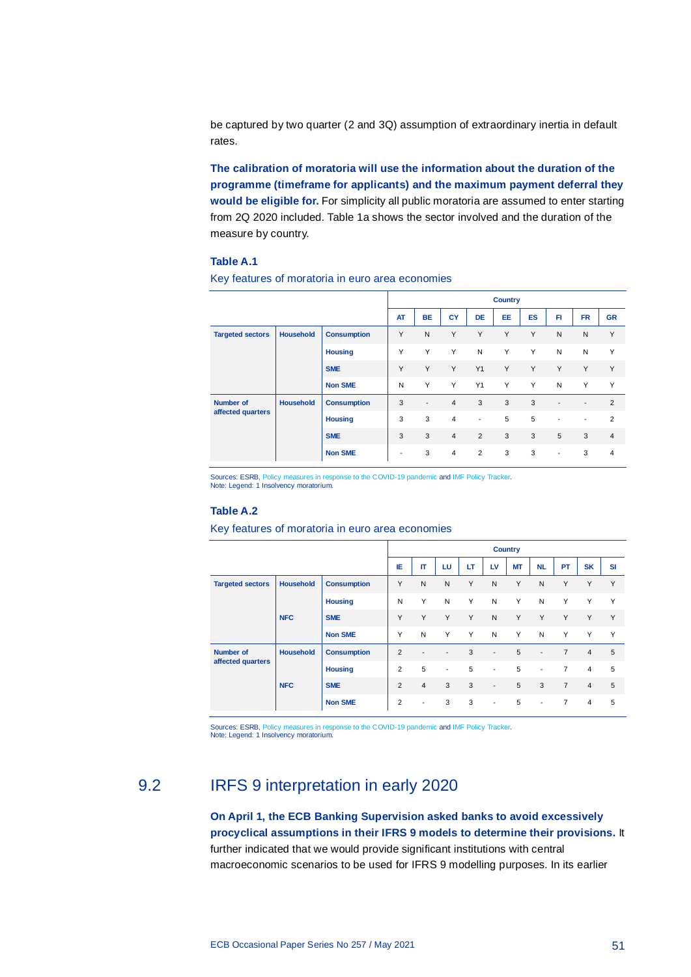be captured by two quarter (2 and 3Q) assumption of extraordinary inertia in default rates.

**The calibration of moratoria will use the information about the duration of the programme (timeframe for applicants) and the maximum payment deferral they would be eligible for.** For simplicity all public moratoria are assumed to enter starting from 2Q 2020 included. Table 1a shows the sector involved and the duration of the measure by country.

## **Table A.1**

|                         |                  |                    | <b>Country</b>           |                          |                |                          |    |           |                          |                          |                |
|-------------------------|------------------|--------------------|--------------------------|--------------------------|----------------|--------------------------|----|-----------|--------------------------|--------------------------|----------------|
|                         |                  |                    | <b>AT</b>                | <b>BE</b>                | CY             | <b>DE</b>                | EE | <b>ES</b> | FI                       | <b>FR</b>                | <b>GR</b>      |
| <b>Targeted sectors</b> | <b>Household</b> | <b>Consumption</b> | Y                        | N                        | Y              | Y                        | Y  | Y         | N                        | N                        | Y              |
|                         |                  | <b>Housing</b>     | Y                        | Y                        | Y              | N                        | Y  | Y         | N                        | N                        | Y              |
|                         |                  | <b>SME</b>         | Y                        | Y                        | Y              | Y1                       | Y  | Y         | Y                        | Y                        | Y              |
|                         |                  | <b>Non SME</b>     | N                        | Y                        | Y              | Y1                       | Y  | Y         | N                        | Y                        | Y              |
| <b>Number of</b>        | <b>Household</b> | <b>Consumption</b> | 3                        | $\overline{\phantom{a}}$ | $\overline{4}$ | 3                        | 3  | 3         | $\overline{\phantom{a}}$ | $\overline{\phantom{a}}$ | 2              |
| affected quarters       |                  | <b>Housing</b>     | 3                        | 3                        | $\overline{4}$ | $\overline{\phantom{a}}$ | 5  | 5         | $\overline{\phantom{a}}$ | $\overline{a}$           | 2              |
|                         |                  | <b>SME</b>         | 3                        | 3                        | $\overline{4}$ | 2                        | 3  | 3         | 5                        | 3                        | $\overline{4}$ |
|                         |                  | <b>Non SME</b>     | $\overline{\phantom{a}}$ | 3                        | $\overline{4}$ | 2                        | 3  | 3         | $\overline{\phantom{a}}$ | 3                        | $\overline{4}$ |

Key features of moratoria in euro area economies

Sources: ESRB[, Policy measures in response to the COVID-19 pandemic](https://www.esrb.europa.eu/home/search/coronavirus/html/index.en.html) an[d IMF Policy Tracker.](https://www.imf.org/en/Topics/imf-and-covid19/Policy-Responses-to-COVID-19#S) Note: Legend: 1 Insolvency moratorium.

#### **Table A.2**

Key features of moratoria in euro area economies

|                         |                  |                    | <b>Country</b> |                          |                          |    |                          |    |                          |                |                |            |
|-------------------------|------------------|--------------------|----------------|--------------------------|--------------------------|----|--------------------------|----|--------------------------|----------------|----------------|------------|
|                         |                  |                    | IE             | П                        | LU                       | LT | <b>LV</b>                | МT | <b>NL</b>                | PT             | <b>SK</b>      | SI         |
| <b>Targeted sectors</b> | <b>Household</b> |                    | Y              | N                        | N                        | Y  | N                        | Y  | N                        | Y              | Y              | Y          |
|                         |                  | <b>Housing</b>     | N              | Y                        | N                        | Y  | N                        | Y  | N                        | Y              | Y              | Y          |
|                         | <b>NFC</b>       | <b>SME</b>         | Y              | Y                        | Y                        | Y  | N                        | Y  | Y                        | Y              | Y              | Y          |
|                         |                  | <b>Non SME</b>     | Y              | N                        | Y                        | Y  | N                        | Y  | N                        | Y              | Y              | Y          |
| <b>Number of</b>        | <b>Household</b> | <b>Consumption</b> | 2              | $\overline{\phantom{a}}$ | $\overline{\phantom{a}}$ | 3  | $\overline{\phantom{a}}$ | 5  | $\overline{\phantom{a}}$ | $\overline{7}$ | $\overline{4}$ | $\sqrt{5}$ |
| affected quarters       |                  | <b>Housing</b>     | 2              | 5                        | $\overline{\phantom{a}}$ | 5  | $\overline{\phantom{a}}$ | 5  | $\overline{\phantom{a}}$ | $\overline{7}$ | $\overline{4}$ | 5          |
|                         | <b>NFC</b>       | <b>SME</b>         | 2              | $\overline{4}$           | 3                        | 3  | $\overline{\phantom{a}}$ | 5  | 3                        | $\overline{7}$ | $\overline{4}$ | 5          |
|                         |                  | <b>Non SME</b>     | $\overline{2}$ | $\overline{\phantom{a}}$ | 3                        | 3  | $\overline{\phantom{0}}$ | 5  | $\overline{\phantom{a}}$ | $\overline{7}$ | $\overline{4}$ | 5          |

<span id="page-51-0"></span>Sources: ESRB[, Policy measures in response to the COVID-19 pandemic](https://www.esrb.europa.eu/home/search/coronavirus/html/index.en.html) an[d IMF Policy Tracker.](https://www.imf.org/en/Topics/imf-and-covid19/Policy-Responses-to-COVID-19#S) Note: Legend: 1 Insolvency moratorium.

# 9.2 IRFS 9 interpretation in early 2020

**On April 1, the ECB Banking Supervision asked banks to avoid excessively procyclical assumptions in their IFRS 9 models to determine their provisions.** It further indicated that we would provide significant institutions with central macroeconomic scenarios to be used for IFRS 9 modelling purposes. In its earlier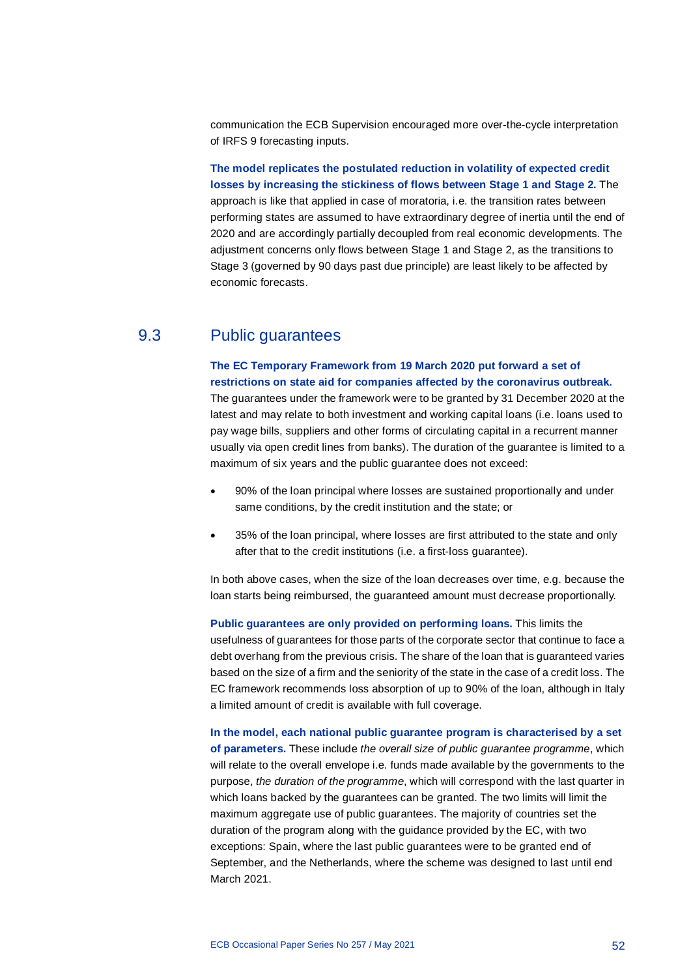communication the ECB Supervision encouraged more over-the-cycle interpretation of IRFS 9 forecasting inputs.

**The model replicates the postulated reduction in volatility of expected credit losses by increasing the stickiness of flows between Stage 1 and Stage 2.** The approach is like that applied in case of moratoria, i.e. the transition rates between performing states are assumed to have extraordinary degree of inertia until the end of 2020 and are accordingly partially decoupled from real economic developments. The adjustment concerns only flows between Stage 1 and Stage 2, as the transitions to Stage 3 (governed by 90 days past due principle) are least likely to be affected by economic forecasts.

# 9.3 Public guarantees

<span id="page-52-0"></span>**The EC Temporary Framework from 19 March 2020 put forward a set of restrictions on state aid for companies affected by the coronavirus outbreak.** The guarantees under the framework were to be granted by 31 December 2020 at the latest and may relate to both investment and working capital loans (i.e. loans used to pay wage bills, suppliers and other forms of circulating capital in a recurrent manner usually via open credit lines from banks). The duration of the guarantee is limited to a maximum of six years and the public guarantee does not exceed:

- 90% of the loan principal where losses are sustained proportionally and under same conditions, by the credit institution and the state; or
- 35% of the loan principal, where losses are first attributed to the state and only after that to the credit institutions (i.e. a first-loss guarantee).

In both above cases, when the size of the loan decreases over time, e.g. because the loan starts being reimbursed, the guaranteed amount must decrease proportionally.

**Public guarantees are only provided on performing loans.** This limits the

usefulness of guarantees for those parts of the corporate sector that continue to face a debt overhang from the previous crisis. The share of the loan that is guaranteed varies based on the size of a firm and the seniority of the state in the case of a credit loss. The EC framework recommends loss absorption of up to 90% of the loan, although in Italy a limited amount of credit is available with full coverage.

**In the model, each national public guarantee program is characterised by a set of parameters.** These include *the overall size of public guarantee programme*, which will relate to the overall envelope i.e. funds made available by the governments to the purpose, *the duration of the programme*, which will correspond with the last quarter in which loans backed by the guarantees can be granted. The two limits will limit the maximum aggregate use of public guarantees. The majority of countries set the duration of the program along with the guidance provided by the EC, with two exceptions: Spain, where the last public guarantees were to be granted end of September, and the Netherlands, where the scheme was designed to last until end March 2021.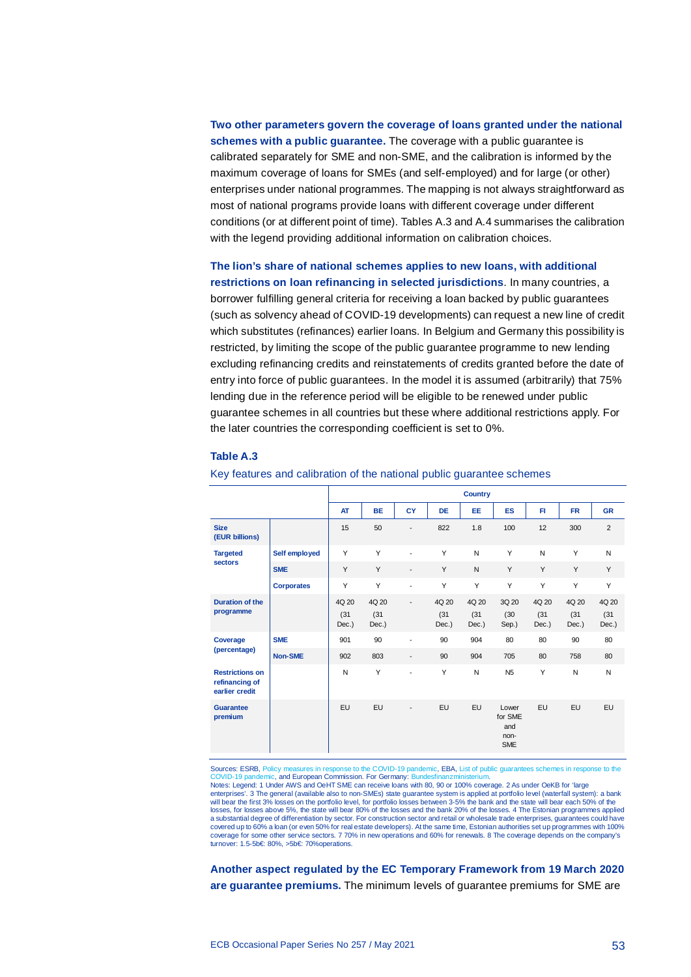**Two other parameters govern the coverage of loans granted under the national schemes with a public guarantee.** The coverage with a public guarantee is calibrated separately for SME and non-SME, and the calibration is informed by the maximum coverage of loans for SMEs (and self-employed) and for large (or other) enterprises under national programmes. The mapping is not always straightforward as most of national programs provide loans with different coverage under different conditions (or at different point of time). Tables A.3 and A.4 summarises the calibration with the legend providing additional information on calibration choices.

**The lion's share of national schemes applies to new loans, with additional restrictions on loan refinancing in selected jurisdictions**. In many countries, a borrower fulfilling general criteria for receiving a loan backed by public guarantees (such as solvency ahead of COVID-19 developments) can request a new line of credit which substitutes (refinances) earlier loans. In Belgium and Germany this possibility is restricted, by limiting the scope of the public guarantee programme to new lending excluding refinancing credits and reinstatements of credits granted before the date of entry into force of public guarantees. In the model it is assumed (arbitrarily) that 75% lending due in the reference period will be eligible to be renewed under public guarantee schemes in all countries but these where additional restrictions apply. For the later countries the corresponding coefficient is set to 0%.

#### **Table A.3**

|                                                            |                   | <b>Country</b>         |                        |                          |                        |                        |                                               |                        |                        |                        |  |  |
|------------------------------------------------------------|-------------------|------------------------|------------------------|--------------------------|------------------------|------------------------|-----------------------------------------------|------------------------|------------------------|------------------------|--|--|
|                                                            |                   | <b>AT</b>              | <b>BE</b>              | <b>CY</b>                | DE                     | EE                     | <b>ES</b>                                     | FI.                    | <b>FR</b>              | <b>GR</b>              |  |  |
| <b>Size</b><br>(EUR billions)                              |                   | 15                     | 50                     | $\overline{a}$           | 822                    | 1.8                    | 100                                           | 12                     | 300                    | 2                      |  |  |
| <b>Targeted</b>                                            | Self employed     | Y                      | Y                      | $\overline{a}$           | Y                      | N                      | Y                                             | $\mathsf{N}$           | Y                      | N                      |  |  |
| sectors                                                    | <b>SME</b>        | Y                      | Y                      | $\overline{\phantom{a}}$ | Y                      | N                      | Y                                             | Y                      | Y                      | Y                      |  |  |
|                                                            | <b>Corporates</b> | Y                      | Y                      | $\overline{\phantom{a}}$ | Y                      | Y                      | Y                                             | Y                      | Y                      | Y                      |  |  |
| <b>Duration of the</b><br>programme                        |                   | 4Q 20<br>(31)<br>Dec.) | 4Q 20<br>(31)<br>Dec.) | $\overline{\phantom{a}}$ | 4Q 20<br>(31)<br>Dec.) | 4Q 20<br>(31)<br>Dec.) | 3Q 20<br>(30)<br>Sep.)                        | 4Q 20<br>(31)<br>Dec.) | 4Q 20<br>(31)<br>Dec.) | 4Q 20<br>(31)<br>Dec.) |  |  |
| Coverage                                                   | <b>SME</b>        | 901                    | 90                     | $\overline{\phantom{a}}$ | 90                     | 904                    | 80                                            | 80                     | 90                     | 80                     |  |  |
| (percentage)                                               | <b>Non-SME</b>    | 902                    | 803                    | $\overline{\phantom{a}}$ | 90                     | 904                    | 705                                           | 80                     | 758                    | 80                     |  |  |
| <b>Restrictions on</b><br>refinancing of<br>earlier credit |                   | N                      | Y                      | $\overline{\phantom{a}}$ | Y                      | N                      | N <sub>5</sub>                                | Y                      | $\mathsf{N}$           | N                      |  |  |
| Guarantee<br>premium                                       |                   | EU                     | EU                     | $\overline{a}$           | EU                     | EU                     | Lower<br>for SME<br>and<br>non-<br><b>SME</b> | EU                     | EU                     | EU                     |  |  |

#### Key features and calibration of the national public guarantee schemes

Sources: ESRB[, Policy measures in response to the COVID-19 pandemic,](https://www.esrb.europa.eu/home/search/coronavirus/html/index.en.html) EBA, List of public guarantees schemes in response to the<br>COVID-19 pandemic, and European Commission, For Germany: Bundesfinanzministerium mic, and European Commission. For Germany: Bunde

Notes: Legend: 1 Under AWS and OeHT SME can receive loans with 80, 90 or 100% coverage. 2 As under OeKB for 'large

enterprises'. 3 The general (available also to non-SMEs) state guarantee system is applied at portfolio level (waterfall system): a bank will bear the first 3% losses on the portfolio level, for portfolio losses between 3-5% the bank and the state will bear each 50% of the losses, for losses above 5%, the state will bear 80% of the losses and the bank 20% of the losses. 4 The Estonian programmes applied a substantial degree of differentiation by sector. For construction sector and retail or wholesale trade enterprises, guarantees could have covered up to 60% a loan (or even 50% for real estate developers). At the same time, Estonian authorities set up programmes with 100% coverage for some other service sectors. 7 70% in new operations and 60% for renewals. 8 The coverage depends on the company's turnover: 1.5-5b€: 80%, >5b€: 70%operations.

**Another aspect regulated by the EC Temporary Framework from 19 March 2020 are guarantee premiums.** The minimum levels of guarantee premiums for SME are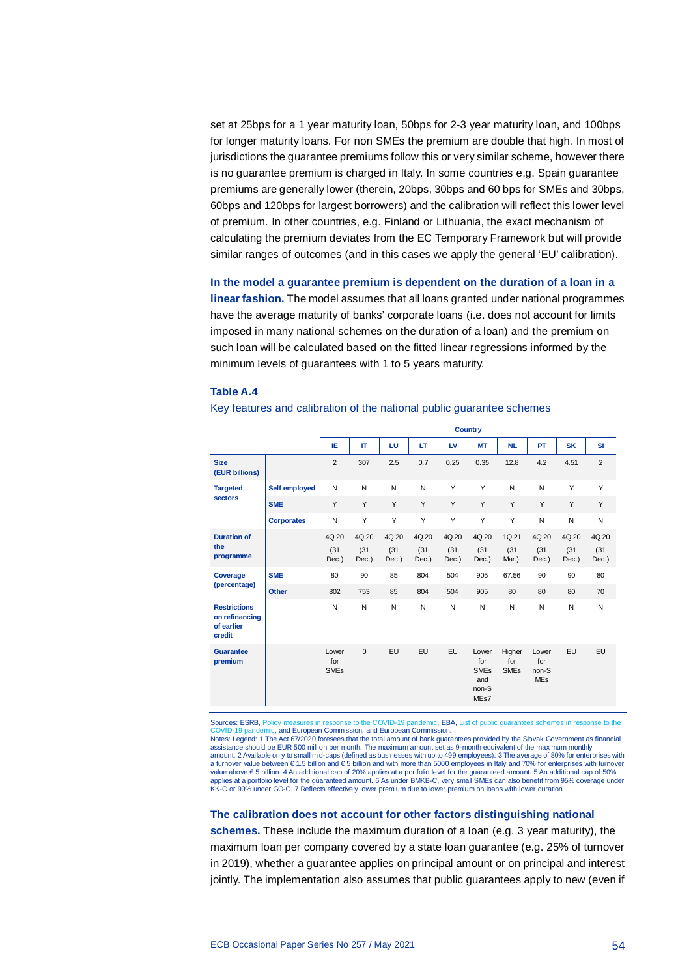set at 25bps for a 1 year maturity loan, 50bps for 2-3 year maturity loan, and 100bps for longer maturity loans. For non SMEs the premium are double that high. In most of jurisdictions the guarantee premiums follow this or very similar scheme, however there is no guarantee premium is charged in Italy. In some countries e.g. Spain guarantee premiums are generally lower (therein, 20bps, 30bps and 60 bps for SMEs and 30bps, 60bps and 120bps for largest borrowers) and the calibration will reflect this lower level of premium. In other countries, e.g. Finland or Lithuania, the exact mechanism of calculating the premium deviates from the EC Temporary Framework but will provide similar ranges of outcomes (and in this cases we apply the general 'EU' calibration).

**In the model a guarantee premium is dependent on the duration of a loan in a linear fashion.** The model assumes that all loans granted under national programmes have the average maturity of banks' corporate loans (i.e. does not account for limits imposed in many national schemes on the duration of a loan) and the premium on such loan will be calculated based on the fitted linear regressions informed by the minimum levels of guarantees with 1 to 5 years maturity.

#### **Table A.4**

#### Key features and calibration of the national public guarantee schemes

|                                                               |                   | <b>Country</b>                         |               |               |               |               |                                                                            |                                         |                                     |               |                |
|---------------------------------------------------------------|-------------------|----------------------------------------|---------------|---------------|---------------|---------------|----------------------------------------------------------------------------|-----------------------------------------|-------------------------------------|---------------|----------------|
|                                                               |                   | IE                                     | п             | LU            | LT            | <b>LV</b>     | МT                                                                         | <b>NL</b>                               | <b>PT</b>                           | <b>SK</b>     | <b>SI</b>      |
| <b>Size</b><br>(EUR billions)                                 |                   | $\overline{2}$                         | 307           | 2.5           | 0.7           | 0.25          | 0.35                                                                       | 12.8                                    | 4.2                                 | 4.51          | $\overline{2}$ |
| <b>Targeted</b>                                               | Self employed     | N                                      | N             | N             | N             | Y             | Y                                                                          | N                                       | N                                   | Y             | Y              |
| sectors                                                       | <b>SME</b>        | Y                                      | Y             | Y             | Y             | Y             | Y                                                                          | Y                                       | Y                                   | Y             | Y              |
|                                                               | <b>Corporates</b> | N                                      | Y             | Y             | Y             | Y             | Y                                                                          | Y                                       | N                                   | N             | N              |
| <b>Duration of</b>                                            |                   | 4Q 20                                  | 4Q 20         | 4Q 20         | 4Q 20         | 4Q 20         | 4Q 20                                                                      | 1Q 21                                   | 4Q 20                               | 4Q 20         | 4Q 20          |
| the<br>programme                                              |                   | (31)<br>Dec.)                          | (31)<br>Dec.) | (31)<br>Dec.) | (31)<br>Dec.) | (31)<br>Dec.) | (31)<br>Dec.)                                                              | (31)<br>Mar.),                          | (31)<br>Dec.)                       | (31)<br>Dec.) | (31)<br>Dec.)  |
| Coverage                                                      | <b>SME</b>        | 80                                     | 90            | 85            | 804           | 504           | 905                                                                        | 67.56                                   | 90                                  | 90            | 80             |
| (percentage)                                                  | <b>Other</b>      | 802                                    | 753           | 85            | 804           | 504           | 905                                                                        | 80                                      | 80                                  | 80            | 70             |
| <b>Restrictions</b><br>on refinancing<br>of earlier<br>credit |                   | N                                      | N             | N             | N             | N             | N                                                                          | N                                       | N                                   | N             | N              |
| Guarantee<br>premium                                          |                   | Lower<br>for<br><b>SME<sub>s</sub></b> | $\Omega$      | EU            | EU            | <b>EU</b>     | Lower<br>for<br><b>SME<sub>s</sub></b><br>and<br>non-S<br>ME <sub>s7</sub> | Higher<br>for<br><b>SME<sub>s</sub></b> | Lower<br>for<br>non-S<br><b>MEs</b> | EU            | EU             |

Sources: ESRB[, Policy measures in response to the COVID-19 pandemic,](https://www.esrb.europa.eu/home/search/coronavirus/html/index.en.html) EBA, List of public guarantees 19 pandemic, and European Commission, and European Commission.

Notes: Legend: 1 The Act 67/2020 foresees that the total amount of bank guarantees provided by the Slovak Government as financial assistance should be EUR 500 million per month. The maximum amount set as 9-month equivalent of the maximum monthly amount. 2 Available only to small mid-caps (defined as businesses with up to 499 employees). 3 The average of 80% for enterprises with a turnover value between € 1.5 billion and € 5 billion and with more than 5000 employees in Italy and 70% for enterprises with turnover value above € 5 billion. 4 An additional cap of 20% applies at a portfolio level for the guaranteed amount. 5 An additional cap of 50% applies at a portfolio level for the guaranteed amount. 6 As under BMKB-C, very small SMEs can also benefit from 95% coverage under KK-C or 90% under GO-C. 7 Reflects effectively lower premium due to lower premium on loans with lower duration.

#### **The calibration does not account for other factors distinguishing national**

**schemes.** These include the maximum duration of a loan (e.g. 3 year maturity), the maximum loan per company covered by a state loan guarantee (e.g. 25% of turnover in 2019), whether a guarantee applies on principal amount or on principal and interest jointly. The implementation also assumes that public guarantees apply to new (even if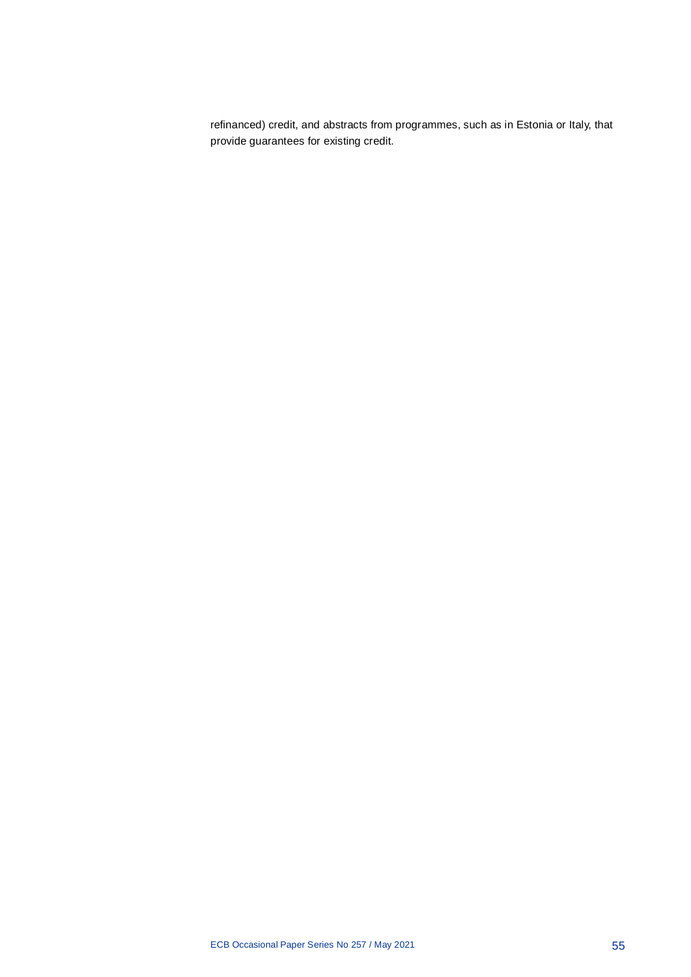refinanced) credit, and abstracts from programmes, such as in Estonia or Italy, that provide guarantees for existing credit.